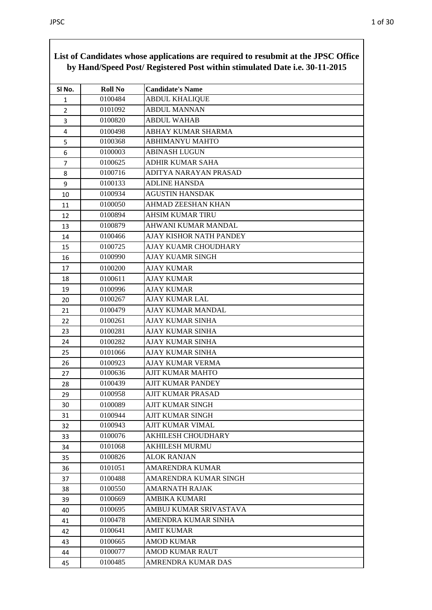|                |                | of candidates whose applications are required to resubtint at the 01 $\beta$ C Office<br>by Hand/Speed Post/ Registered Post within stimulated Date i.e. 30-11-2015 |
|----------------|----------------|---------------------------------------------------------------------------------------------------------------------------------------------------------------------|
| SI No.         | <b>Roll No</b> | <b>Candidate's Name</b>                                                                                                                                             |
| 1              | 0100484        | <b>ABDUL KHALIQUE</b>                                                                                                                                               |
| $\overline{2}$ | 0101092        | <b>ABDUL MANNAN</b>                                                                                                                                                 |
| 3              | 0100820        | <b>ABDUL WAHAB</b>                                                                                                                                                  |
| 4              | 0100498        | <b>ABHAY KUMAR SHARMA</b>                                                                                                                                           |
| 5              | 0100368        | <b>ABHIMANYU MAHTO</b>                                                                                                                                              |
| 6              | 0100003        | <b>ABINASH LUGUN</b>                                                                                                                                                |
| $\overline{7}$ | 0100625        | <b>ADHIR KUMAR SAHA</b>                                                                                                                                             |
| 8              | 0100716        | ADITYA NARAYAN PRASAD                                                                                                                                               |
| 9              | 0100133        | <b>ADLINE HANSDA</b>                                                                                                                                                |
| 10             | 0100934        | <b>AGUSTIN HANSDAK</b>                                                                                                                                              |
| 11             | 0100050        | AHMAD ZEESHAN KHAN                                                                                                                                                  |
| 12             | 0100894        | AHSIM KUMAR TIRU                                                                                                                                                    |
| 13             | 0100879        | AHWANI KUMAR MANDAL                                                                                                                                                 |
| 14             | 0100466        | <b>AJAY KISHOR NATH PANDEY</b>                                                                                                                                      |
| 15             | 0100725        | AJAY KUAMR CHOUDHARY                                                                                                                                                |
| 16             | 0100990        | <b>AJAY KUAMR SINGH</b>                                                                                                                                             |
| 17             | 0100200        | <b>AJAY KUMAR</b>                                                                                                                                                   |
| 18             | 0100611        | <b>AJAY KUMAR</b>                                                                                                                                                   |
| 19             | 0100996        | <b>AJAY KUMAR</b>                                                                                                                                                   |
| 20             | 0100267        | <b>AJAY KUMAR LAL</b>                                                                                                                                               |
| 21             | 0100479        | AJAY KUMAR MANDAL                                                                                                                                                   |
| 22             | 0100261        | <b>AJAY KUMAR SINHA</b>                                                                                                                                             |
| 23             | 0100281        | AJAY KUMAR SINHA                                                                                                                                                    |
| 24             | 0100282        | <b>AJAY KUMAR SINHA</b>                                                                                                                                             |
| 25             | 0101066        | <b>AJAY KUMAR SINHA</b>                                                                                                                                             |
| 26             | 0100923        | AJAY KUMAR VERMA                                                                                                                                                    |
| 27             | 0100636        | AJIT KUMAR MAHTO                                                                                                                                                    |
| 28             | 0100439        | AJIT KUMAR PANDEY                                                                                                                                                   |
| 29             | 0100958        | AJIT KUMAR PRASAD                                                                                                                                                   |
| 30             | 0100089        | <b>AJIT KUMAR SINGH</b>                                                                                                                                             |
| 31             | 0100944        | AJIT KUMAR SINGH                                                                                                                                                    |
| 32             | 0100943        | AJIT KUMAR VIMAL                                                                                                                                                    |
| 33             | 0100076        | AKHILESH CHOUDHARY                                                                                                                                                  |
| 34             | 0101068        | <b>AKHILESH MURMU</b>                                                                                                                                               |
| 35             | 0100826        | <b>ALOK RANJAN</b>                                                                                                                                                  |
| 36             | 0101051        | <b>AMARENDRA KUMAR</b>                                                                                                                                              |
| 37             | 0100488        | AMARENDRA KUMAR SINGH                                                                                                                                               |
| 38             | 0100550        | <b>AMARNATH RAJAK</b>                                                                                                                                               |
| 39             | 0100669        | AMBIKA KUMARI                                                                                                                                                       |
| 40             | 0100695        | AMBUJ KUMAR SRIVASTAVA                                                                                                                                              |
| 41             | 0100478        | AMENDRA KUMAR SINHA                                                                                                                                                 |
| 42             | 0100641        | <b>AMIT KUMAR</b>                                                                                                                                                   |
| 43             | 0100665        | <b>AMOD KUMAR</b>                                                                                                                                                   |
| 44             | 0100077        | <b>AMOD KUMAR RAUT</b>                                                                                                                                              |
| 45             | 0100485        | AMRENDRA KUMAR DAS                                                                                                                                                  |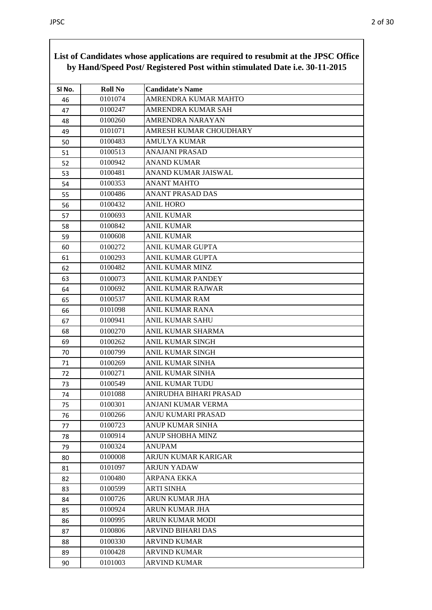| SI No. | <b>Roll No</b> | <b>Candidate's Name</b>  |
|--------|----------------|--------------------------|
| 46     | 0101074        | AMRENDRA KUMAR MAHTO     |
| 47     | 0100247        | AMRENDRA KUMAR SAH       |
| 48     | 0100260        | AMRENDRA NARAYAN         |
| 49     | 0101071        | AMRESH KUMAR CHOUDHARY   |
| 50     | 0100483        | <b>AMULYA KUMAR</b>      |
| 51     | 0100513        | <b>ANAJANI PRASAD</b>    |
| 52     | 0100942        | <b>ANAND KUMAR</b>       |
| 53     | 0100481        | ANAND KUMAR JAISWAL      |
| 54     | 0100353        | <b>ANANT MAHTO</b>       |
| 55     | 0100486        | <b>ANANT PRASAD DAS</b>  |
| 56     | 0100432        | <b>ANIL HORO</b>         |
| 57     | 0100693        | <b>ANIL KUMAR</b>        |
| 58     | 0100842        | <b>ANIL KUMAR</b>        |
| 59     | 0100608        | <b>ANIL KUMAR</b>        |
| 60     | 0100272        | ANIL KUMAR GUPTA         |
| 61     | 0100293        | ANIL KUMAR GUPTA         |
| 62     | 0100482        | <b>ANIL KUMAR MINZ</b>   |
| 63     | 0100073        | ANIL KUMAR PANDEY        |
| 64     | 0100692        | <b>ANIL KUMAR RAJWAR</b> |
| 65     | 0100537        | <b>ANIL KUMAR RAM</b>    |
| 66     | 0101098        | ANIL KUMAR RANA          |
| 67     | 0100941        | <b>ANIL KUMAR SAHU</b>   |
| 68     | 0100270        | ANIL KUMAR SHARMA        |
| 69     | 0100262        | ANIL KUMAR SINGH         |
| 70     | 0100799        | ANIL KUMAR SINGH         |
| 71     | 0100269        | <b>ANIL KUMAR SINHA</b>  |
| 72     | 0100271        | ANIL KUMAR SINHA         |
| 73     | 0100549        | ANIL KUMAR TUDU          |
| 74     | 0101088        | ANIRUDHA BIHARI PRASAD   |
| 75     | 0100301        | ANJANI KUMAR VERMA       |
| 76     | 0100266        | ANJU KUMARI PRASAD       |
| 77     | 0100723        | ANUP KUMAR SINHA         |
| 78     | 0100914        | <b>ANUP SHOBHA MINZ</b>  |
| 79     | 0100324        | <b>ANUPAM</b>            |
| 80     | 0100008        | ARJUN KUMAR KARIGAR      |
| 81     | 0101097        | <b>ARJUN YADAW</b>       |
| 82     | 0100480        | ARPANA EKKA              |
| 83     | 0100599        | <b>ARTI SINHA</b>        |
| 84     | 0100726        | ARUN KUMAR JHA           |
| 85     | 0100924        | <b>ARUN KUMAR JHA</b>    |
| 86     | 0100995        | <b>ARUN KUMAR MODI</b>   |
| 87     | 0100806        | ARVIND BIHARI DAS        |
| 88     | 0100330        | <b>ARVIND KUMAR</b>      |
| 89     | 0100428        | <b>ARVIND KUMAR</b>      |
| 90     | 0101003        | <b>ARVIND KUMAR</b>      |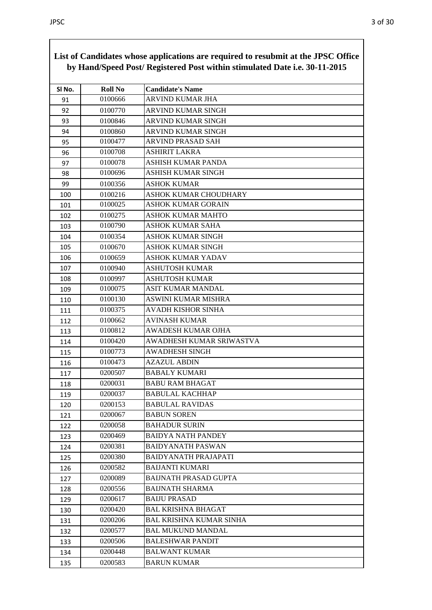| Sl No.     | <b>Roll No</b> | <b>Candidate's Name</b>        |
|------------|----------------|--------------------------------|
| 91         | 0100666        | <b>ARVIND KUMAR JHA</b>        |
| 92         | 0100770        | ARVIND KUMAR SINGH             |
| 93         | 0100846        | <b>ARVIND KUMAR SINGH</b>      |
| 94         | 0100860        | ARVIND KUMAR SINGH             |
| 95         | 0100477        | ARVIND PRASAD SAH              |
| 96         | 0100708        | <b>ASHIRIT LAKRA</b>           |
| 97         | 0100078        | ASHISH KUMAR PANDA             |
| 98         | 0100696        | ASHISH KUMAR SINGH             |
| 99         | 0100356        | ASHOK KUMAR                    |
| 100        | 0100216        | ASHOK KUMAR CHOUDHARY          |
| 101        | 0100025        | <b>ASHOK KUMAR GORAIN</b>      |
| 102        | 0100275        | <b>ASHOK KUMAR MAHTO</b>       |
| 103        | 0100790        | <b>ASHOK KUMAR SAHA</b>        |
| 104        | 0100354        | ASHOK KUMAR SINGH              |
| 105        | 0100670        | <b>ASHOK KUMAR SINGH</b>       |
| 106        | 0100659        | <b>ASHOK KUMAR YADAV</b>       |
| 107        | 0100940        | <b>ASHUTOSH KUMAR</b>          |
|            | 0100997        | <b>ASHUTOSH KUMAR</b>          |
| 108<br>109 | 0100075        | ASIT KUMAR MANDAL              |
| 110        | 0100130        | <b>ASWINI KUMAR MISHRA</b>     |
|            | 0100375        | <b>AVADH KISHOR SINHA</b>      |
| 111        | 0100662        | <b>AVINASH KUMAR</b>           |
| 112        | 0100812        | AWADESH KUMAR OJHA             |
| 113        | 0100420        | AWADHESH KUMAR SRIWASTVA       |
| 114        | 0100773        | <b>AWADHESH SINGH</b>          |
| 115        | 0100473        | <b>AZAZUL ABDIN</b>            |
| 116        | 0200507        | <b>BABALY KUMARI</b>           |
| 117        | 0200031        | <b>BABU RAM BHAGAT</b>         |
| 118        | 0200037        | <b>BABULAL KACHHAP</b>         |
| 119        | 0200153        | <b>BABULAL RAVIDAS</b>         |
| 120        | 0200067        | <b>BABUN SOREN</b>             |
| 121<br>122 | 0200058        | <b>BAHADUR SURIN</b>           |
|            | 0200469        | <b>BAIDYA NATH PANDEY</b>      |
| 123        | 0200381        | <b>BAIDYANATH PASWAN</b>       |
| 124        | 0200380        | <b>BAIDYANATH PRAJAPATI</b>    |
| 125        | 0200582        | <b>BAIJANTI KUMARI</b>         |
| 126<br>127 | 0200089        | <b>BAIJNATH PRASAD GUPTA</b>   |
| 128        | 0200556        | <b>BAIJNATH SHARMA</b>         |
| 129        | 0200617        | <b>BAIJU PRASAD</b>            |
| 130        | 0200420        | <b>BAL KRISHNA BHAGAT</b>      |
| 131        | 0200206        | <b>BAL KRISHNA KUMAR SINHA</b> |
| 132        | 0200577        | <b>BAL MUKUND MANDAL</b>       |
|            | 0200506        | <b>BALESHWAR PANDIT</b>        |
| 133        | 0200448        | <b>BALWANT KUMAR</b>           |
| 134<br>135 | 0200583        | <b>BARUN KUMAR</b>             |
|            |                |                                |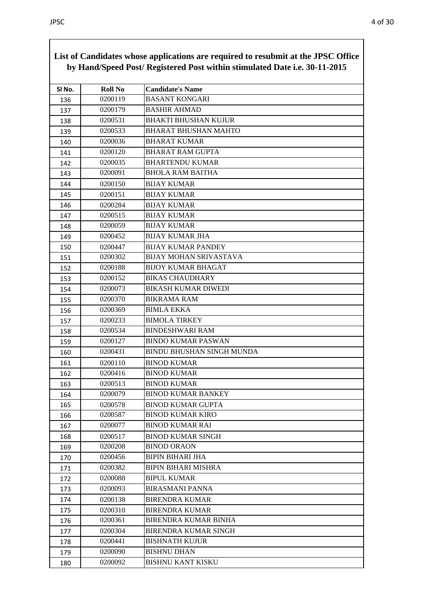|        |                | of candidates whose applications are required to resubtint at the $0100$ Office<br>by Hand/Speed Post/ Registered Post within stimulated Date i.e. 30-11-2015 |
|--------|----------------|---------------------------------------------------------------------------------------------------------------------------------------------------------------|
| SI No. | <b>Roll No</b> | <b>Candidate's Name</b>                                                                                                                                       |
| 136    | 0200119        | <b>BASANT KONGARI</b>                                                                                                                                         |
| 137    | 0200179        | <b>BASHIR AHMAD</b>                                                                                                                                           |
| 138    | 0200531        | <b>BHAKTI BHUSHAN KUJUR</b>                                                                                                                                   |
| 139    | 0200533        | <b>BHARAT BHUSHAN MAHTO</b>                                                                                                                                   |
| 140    | 0200036        | <b>BHARAT KUMAR</b>                                                                                                                                           |
| 141    | 0200120        | <b>BHARAT RAM GUPTA</b>                                                                                                                                       |
| 142    | 0200035        | <b>BHARTENDU KUMAR</b>                                                                                                                                        |
| 143    | 0200091        | <b>BHOLA RAM BAITHA</b>                                                                                                                                       |
| 144    | 0200150        | <b>BIJAY KUMAR</b>                                                                                                                                            |
| 145    | 0200151        | <b>BIJAY KUMAR</b>                                                                                                                                            |
| 146    | 0200284        | <b>BIJAY KUMAR</b>                                                                                                                                            |
| 147    | 0200515        | <b>BIJAY KUMAR</b>                                                                                                                                            |
| 148    | 0200059        | <b>BIJAY KUMAR</b>                                                                                                                                            |
| 149    | 0200452        | <b>BIJAY KUMAR JHA</b>                                                                                                                                        |
| 150    | 0200447        | <b>BIJAY KUMAR PANDEY</b>                                                                                                                                     |
| 151    | 0200302        | <b>BIJAY MOHAN SRIVASTAVA</b>                                                                                                                                 |
| 152    | 0200188        | <b>BIJOY KUMAR BHAGAT</b>                                                                                                                                     |
| 153    | 0200152        | <b>BIKAS CHAUDHARY</b>                                                                                                                                        |
| 154    | 0200073        | <b>BIKASH KUMAR DIWEDI</b>                                                                                                                                    |
| 155    | 0200370        | <b>BIKRAMA RAM</b>                                                                                                                                            |
| 156    | 0200369        | <b>BIMLA EKKA</b>                                                                                                                                             |
| 157    | 0200233        | <b>BIMOLA TIRKEY</b>                                                                                                                                          |
| 158    | 0200534        | <b>BINDESHWARI RAM</b>                                                                                                                                        |
| 159    | 0200127        | <b>BINDO KUMAR PASWAN</b>                                                                                                                                     |
| 160    | 0200431        | <b>BINDU BHUSHAN SINGH MUNDA</b>                                                                                                                              |
| 161    | 0200110        | <b>BINOD KUMAR</b>                                                                                                                                            |
| 162    | 0200416        | <b>BINOD KUMAR</b>                                                                                                                                            |
| 163    | 0200513        | <b>BINOD KUMAR</b>                                                                                                                                            |
| 164    | 0200079        | <b>BINOD KUMAR BANKEY</b>                                                                                                                                     |
| 165    | 0200578        | <b>BINOD KUMAR GUPTA</b>                                                                                                                                      |
| 166    | 0200587        | <b>BINOD KUMAR KIRO</b>                                                                                                                                       |
| 167    | 0200077        | <b>BINOD KUMAR RAI</b>                                                                                                                                        |
| 168    | 0200517        | <b>BINOD KUMAR SINGH</b>                                                                                                                                      |
| 169    | 0200208        | <b>BINOD ORAON</b>                                                                                                                                            |
| 170    | 0200456        | <b>BIPIN BIHARI JHA</b>                                                                                                                                       |
| 171    | 0200382        | <b>BIPIN BIHARI MISHRA</b>                                                                                                                                    |
| 172    | 0200088        | <b>BIPUL KUMAR</b>                                                                                                                                            |
| 173    | 0200093        | <b>BIRASMANI PANNA</b>                                                                                                                                        |
| 174    | 0200138        | <b>BIRENDRA KUMAR</b>                                                                                                                                         |
| 175    | 0200310        | <b>BIRENDRA KUMAR</b>                                                                                                                                         |
| 176    | 0200361        | <b>BIRENDRA KUMAR BINHA</b>                                                                                                                                   |
| 177    | 0200304        | <b>BIRENDRA KUMAR SINGH</b>                                                                                                                                   |
| 178    | 0200441        | <b>BISHNATH KUJUR</b>                                                                                                                                         |
| 179    | 0200090        | <b>BISHNU DHAN</b>                                                                                                                                            |
| 180    | 0200092        | <b>BISHNU KANT KISKU</b>                                                                                                                                      |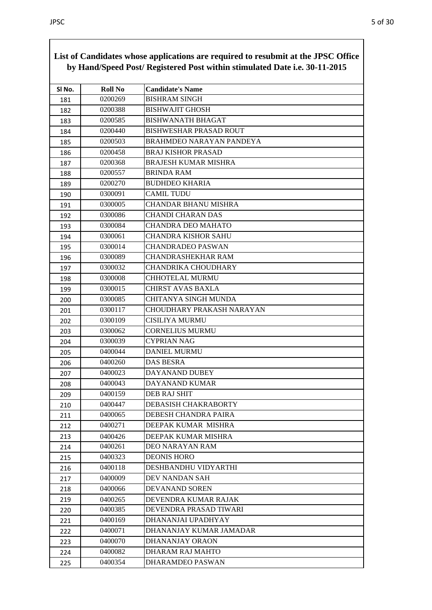|        |                | by Hand/Speed Post/ Registered Post within stimulated Date i.e. 30-11-2015 |
|--------|----------------|----------------------------------------------------------------------------|
| SI No. | <b>Roll No</b> | <b>Candidate's Name</b>                                                    |
| 181    | 0200269        | <b>BISHRAM SINGH</b>                                                       |
| 182    | 0200388        | <b>BISHWAJIT GHOSH</b>                                                     |
| 183    | 0200585        | <b>BISHWANATH BHAGAT</b>                                                   |
| 184    | 0200440        | <b>BISHWESHAR PRASAD ROUT</b>                                              |
| 185    | 0200503        | <b>BRAHMDEO NARAYAN PANDEYA</b>                                            |
| 186    | 0200458        | <b>BRAJ KISHOR PRASAD</b>                                                  |
| 187    | 0200368        | <b>BRAJESH KUMAR MISHRA</b>                                                |
| 188    | 0200557        | <b>BRINDA RAM</b>                                                          |
| 189    | 0200270        | <b>BUDHDEO KHARIA</b>                                                      |
| 190    | 0300091        | <b>CAMIL TUDU</b>                                                          |
| 191    | 0300005        | CHANDAR BHANU MISHRA                                                       |
| 192    | 0300086        | CHANDI CHARAN DAS                                                          |
| 193    | 0300084        | <b>CHANDRA DEO MAHATO</b>                                                  |
| 194    | 0300061        | <b>CHANDRA KISHOR SAHU</b>                                                 |
| 195    | 0300014        | <b>CHANDRADEO PASWAN</b>                                                   |
| 196    | 0300089        | CHANDRASHEKHAR RAM                                                         |
| 197    | 0300032        | CHANDRIKA CHOUDHARY                                                        |
| 198    | 0300008        | CHHOTELAL MURMU                                                            |
| 199    | 0300015        | CHIRST AVAS BAXLA                                                          |
| 200    | 0300085        | <b>CHITANYA SINGH MUNDA</b>                                                |
| 201    | 0300117        | CHOUDHARY PRAKASH NARAYAN                                                  |
| 202    | 0300109        | CISILIYA MURMU                                                             |
| 203    | 0300062        | <b>CORNELIUS MURMU</b>                                                     |
| 204    | 0300039        | <b>CYPRIAN NAG</b>                                                         |
| 205    | 0400044        | <b>DANIEL MURMU</b>                                                        |
| 206    | 0400260        | DAS BESRA                                                                  |
| 207    | 0400023        | DAYANAND DUBEY                                                             |
| 208    | 0400043        | DAYANAND KUMAR                                                             |
| 209    | 0400159        | DEB RAJ SHIT                                                               |
| 210    | 0400447        | DEBASISH CHAKRABORTY                                                       |
| 211    | 0400065        | DEBESH CHANDRA PAIRA                                                       |
| 212    | 0400271        | DEEPAK KUMAR MISHRA                                                        |
| 213    | 0400426        | DEEPAK KUMAR MISHRA                                                        |
| 214    | 0400261        | <b>DEO NARAYAN RAM</b>                                                     |
| 215    | 0400323        | <b>DEONIS HORO</b>                                                         |
| 216    | 0400118        | DESHBANDHU VIDYARTHI                                                       |
| 217    | 0400009        | DEV NANDAN SAH                                                             |
| 218    | 0400066        | DEVANAND SOREN                                                             |
| 219    | 0400265        | DEVENDRA KUMAR RAJAK                                                       |
| 220    | 0400385        | DEVENDRA PRASAD TIWARI                                                     |
| 221    | 0400169        | DHANANJAI UPADHYAY                                                         |
| 222    | 0400071        | DHANANJAY KUMAR JAMADAR                                                    |
| 223    | 0400070        | DHANANJAY ORAON                                                            |
| 224    | 0400082        | DHARAM RAJ MAHTO                                                           |
| 225    | 0400354        | DHARAMDEO PASWAN                                                           |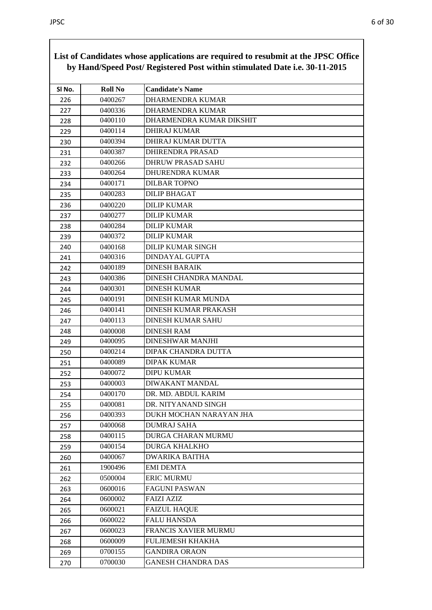|        | by Hand/Speed Post/ Registered Post within stimulated Date i.e. 30-11-2015 |                             |  |
|--------|----------------------------------------------------------------------------|-----------------------------|--|
| SI No. | <b>Roll No</b>                                                             | <b>Candidate's Name</b>     |  |
| 226    | 0400267                                                                    | <b>DHARMENDRA KUMAR</b>     |  |
| 227    | 0400336                                                                    | DHARMENDRA KUMAR            |  |
| 228    | 0400110                                                                    | DHARMENDRA KUMAR DIKSHIT    |  |
| 229    | 0400114                                                                    | <b>DHIRAJ KUMAR</b>         |  |
| 230    | 0400394                                                                    | DHIRAJ KUMAR DUTTA          |  |
| 231    | 0400387                                                                    | <b>DHIRENDRA PRASAD</b>     |  |
| 232    | 0400266                                                                    | <b>DHRUW PRASAD SAHU</b>    |  |
| 233    | 0400264                                                                    | <b>DHURENDRA KUMAR</b>      |  |
| 234    | 0400171                                                                    | <b>DILBAR TOPNO</b>         |  |
| 235    | 0400283                                                                    | <b>DILIP BHAGAT</b>         |  |
| 236    | 0400220                                                                    | <b>DILIP KUMAR</b>          |  |
| 237    | 0400277                                                                    | <b>DILIP KUMAR</b>          |  |
| 238    | 0400284                                                                    | <b>DILIP KUMAR</b>          |  |
| 239    | 0400372                                                                    | <b>DILIP KUMAR</b>          |  |
| 240    | 0400168                                                                    | <b>DILIP KUMAR SINGH</b>    |  |
| 241    | 0400316                                                                    | <b>DINDAYAL GUPTA</b>       |  |
| 242    | 0400189                                                                    | <b>DINESH BARAIK</b>        |  |
| 243    | 0400386                                                                    | DINESH CHANDRA MANDAL       |  |
| 244    | 0400301                                                                    | <b>DINESH KUMAR</b>         |  |
| 245    | 0400191                                                                    | <b>DINESH KUMAR MUNDA</b>   |  |
| 246    | 0400141                                                                    | <b>DINESH KUMAR PRAKASH</b> |  |
| 247    | 0400113                                                                    | <b>DINESH KUMAR SAHU</b>    |  |
| 248    | 0400008                                                                    | <b>DINESH RAM</b>           |  |
| 249    | 0400095                                                                    | <b>DINESHWAR MANJHI</b>     |  |
| 250    | 0400214                                                                    | DIPAK CHANDRA DUTTA         |  |
| 251    | 0400089                                                                    | <b>DIPAK KUMAR</b>          |  |
| 252    | 0400072                                                                    | <b>DIPU KUMAR</b>           |  |
| 253    | 0400003                                                                    | DIWAKANT MANDAL             |  |
| 254    | 0400170                                                                    | DR. MD. ABDUL KARIM         |  |
| 255    | 0400081                                                                    | DR. NITYANAND SINGH         |  |
| 256    | 0400393                                                                    | DUKH MOCHAN NARAYAN JHA     |  |
| 257    | 0400068                                                                    | <b>DUMRAJ SAHA</b>          |  |
| 258    | 0400115                                                                    | <b>DURGA CHARAN MURMU</b>   |  |
| 259    | 0400154                                                                    | <b>DURGA KHALKHO</b>        |  |
| 260    | 0400067                                                                    | <b>DWARIKA BAITHA</b>       |  |
| 261    | 1900496                                                                    | <b>EMI DEMTA</b>            |  |
| 262    | 0500004                                                                    | <b>ERIC MURMU</b>           |  |
| 263    | 0600016                                                                    | <b>FAGUNI PASWAN</b>        |  |
| 264    | 0600002                                                                    | <b>FAIZI AZIZ</b>           |  |
| 265    | 0600021                                                                    | <b>FAIZUL HAQUE</b>         |  |
| 266    | 0600022                                                                    | <b>FALU HANSDA</b>          |  |
| 267    | 0600023                                                                    | <b>FRANCIS XAVIER MURMU</b> |  |
| 268    | 0600009                                                                    | FULJEMESH KHAKHA            |  |
| 269    | 0700155                                                                    | <b>GANDIRA ORAON</b>        |  |
| 270    | 0700030                                                                    | <b>GANESH CHANDRA DAS</b>   |  |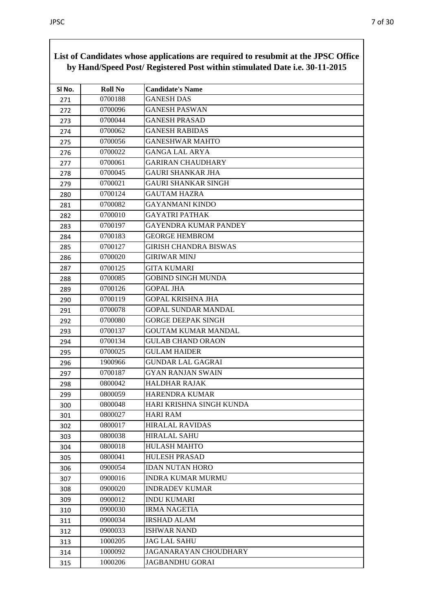| SI No. | <b>Roll No</b> | <b>Candidate's Name</b>      |
|--------|----------------|------------------------------|
| 271    | 0700188        | <b>GANESH DAS</b>            |
| 272    | 0700096        | <b>GANESH PASWAN</b>         |
| 273    | 0700044        | <b>GANESH PRASAD</b>         |
| 274    | 0700062        | <b>GANESH RABIDAS</b>        |
| 275    | 0700056        | <b>GANESHWAR MAHTO</b>       |
| 276    | 0700022        | <b>GANGA LAL ARYA</b>        |
| 277    | 0700061        | <b>GARIRAN CHAUDHARY</b>     |
| 278    | 0700045        | <b>GAURI SHANKAR JHA</b>     |
| 279    | 0700021        | <b>GAURI SHANKAR SINGH</b>   |
| 280    | 0700124        | <b>GAUTAM HAZRA</b>          |
| 281    | 0700082        | <b>GAYANMANI KINDO</b>       |
| 282    | 0700010        | <b>GAYATRI PATHAK</b>        |
| 283    | 0700197        | <b>GAYENDRA KUMAR PANDEY</b> |
| 284    | 0700183        | <b>GEORGE HEMBROM</b>        |
| 285    | 0700127        | <b>GIRISH CHANDRA BISWAS</b> |
| 286    | 0700020        | <b>GIRIWAR MINJ</b>          |
| 287    | 0700125        | <b>GITA KUMARI</b>           |
| 288    | 0700085        | <b>GOBIND SINGH MUNDA</b>    |
| 289    | 0700126        | <b>GOPAL JHA</b>             |
| 290    | 0700119        | <b>GOPAL KRISHNA JHA</b>     |
| 291    | 0700078        | <b>GOPAL SUNDAR MANDAL</b>   |
| 292    | 0700080        | <b>GORGE DEEPAK SINGH</b>    |
| 293    | 0700137        | <b>GOUTAM KUMAR MANDAL</b>   |
| 294    | 0700134        | <b>GULAB CHAND ORAON</b>     |
| 295    | 0700025        | <b>GULAM HAIDER</b>          |
| 296    | 1900966        | <b>GUNDAR LAL GAGRAI</b>     |
| 297    | 0700187        | <b>GYAN RANJAN SWAIN</b>     |
| 298    | 0800042        | HALDHAR RAJAK                |
| 299    | 0800059        | HARENDRA KUMAR               |
| 300    | 0800048        | HARI KRISHNA SINGH KUNDA     |
| 301    | 0800027        | <b>HARI RAM</b>              |
| 302    | 0800017        | <b>HIRALAL RAVIDAS</b>       |
| 303    | 0800038        | <b>HIRALAL SAHU</b>          |
| 304    | 0800018        | <b>HULASH MAHTO</b>          |
| 305    | 0800041        | <b>HULESH PRASAD</b>         |
| 306    | 0900054        | <b>IDAN NUTAN HORO</b>       |
| 307    | 0900016        | <b>INDRA KUMAR MURMU</b>     |
| 308    | 0900020        | <b>INDRADEV KUMAR</b>        |
| 309    | 0900012        | <b>INDU KUMARI</b>           |
| 310    | 0900030        | <b>IRMA NAGETIA</b>          |
| 311    | 0900034        | <b>IRSHAD ALAM</b>           |
| 312    | 0900033        | <b>ISHWAR NAND</b>           |
| 313    | 1000205        | <b>JAG LAL SAHU</b>          |
| 314    | 1000092        | JAGANARAYAN CHOUDHARY        |
| 315    | 1000206        | <b>JAGBANDHU GORAI</b>       |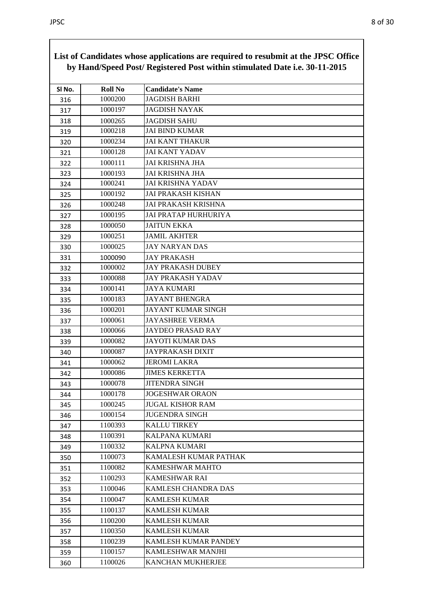| SI No. | <b>Roll No</b> | <b>Candidate's Name</b>     |
|--------|----------------|-----------------------------|
| 316    | 1000200        | <b>JAGDISH BARHI</b>        |
| 317    | 1000197        | <b>JAGDISH NAYAK</b>        |
| 318    | 1000265        | <b>JAGDISH SAHU</b>         |
| 319    | 1000218        | <b>JAI BIND KUMAR</b>       |
| 320    | 1000234        | <b>JAI KANT THAKUR</b>      |
| 321    | 1000128        | <b>JAI KANT YADAV</b>       |
| 322    | 1000111        | <b>JAI KRISHNA JHA</b>      |
| 323    | 1000193        | <b>JAI KRISHNA JHA</b>      |
| 324    | 1000241        | JAI KRISHNA YADAV           |
| 325    | 1000192        | <b>JAI PRAKASH KISHAN</b>   |
| 326    | 1000248        | <b>JAI PRAKASH KRISHNA</b>  |
| 327    | 1000195        | <b>JAI PRATAP HURHURIYA</b> |
| 328    | 1000050        | <b>JAITUN EKKA</b>          |
| 329    | 1000251        | <b>JAMIL AKHTER</b>         |
| 330    | 1000025        | <b>JAY NARYAN DAS</b>       |
| 331    | 1000090        | <b>JAY PRAKASH</b>          |
| 332    | 1000002        | <b>JAY PRAKASH DUBEY</b>    |
| 333    | 1000088        | <b>JAY PRAKASH YADAV</b>    |
| 334    | 1000141        | <b>JAYA KUMARI</b>          |
| 335    | 1000183        | <b>JAYANT BHENGRA</b>       |
| 336    | 1000201        | JAYANT KUMAR SINGH          |
| 337    | 1000061        | <b>JAYASHREE VERMA</b>      |
| 338    | 1000066        | <b>JAYDEO PRASAD RAY</b>    |
| 339    | 1000082        | <b>JAYOTI KUMAR DAS</b>     |
| 340    | 1000087        | <b>JAYPRAKASH DIXIT</b>     |
| 341    | 1000062        | <b>JEROMI LAKRA</b>         |
| 342    | 1000086        | <b>JIMES KERKETTA</b>       |
| 343    | 1000078        | <b>JITENDRA SINGH</b>       |
| 344    | 1000178        | <b>JOGESHWAR ORAON</b>      |
| 345    | 1000245        | <b>JUGAL KISHOR RAM</b>     |
| 346    | 1000154        | <b>JUGENDRA SINGH</b>       |
| 347    | 1100393        | <b>KALLU TIRKEY</b>         |
| 348    | 1100391        | KALPANA KUMARI              |
| 349    | 1100332        | KALPNA KUMARI               |
| 350    | 1100073        | KAMALESH KUMAR PATHAK       |
| 351    | 1100082        | KAMESHWAR MAHTO             |
| 352    | 1100293        | <b>KAMESHWAR RAI</b>        |
| 353    | 1100046        | KAMLESH CHANDRA DAS         |
| 354    | 1100047        | <b>KAMLESH KUMAR</b>        |
| 355    | 1100137        | <b>KAMLESH KUMAR</b>        |
| 356    | 1100200        | <b>KAMLESH KUMAR</b>        |
| 357    | 1100350        | <b>KAMLESH KUMAR</b>        |
| 358    | 1100239        | KAMLESH KUMAR PANDEY        |
| 359    | 1100157        | KAMLESHWAR MANJHI           |
| 360    | 1100026        | KANCHAN MUKHERJEE           |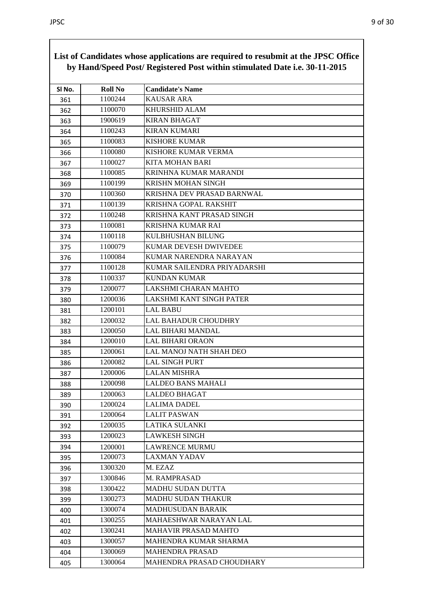| SI No. | <b>Roll No</b> | <b>Candidate's Name</b>     |
|--------|----------------|-----------------------------|
| 361    | 1100244        | <b>KAUSAR ARA</b>           |
| 362    | 1100070        | KHURSHID ALAM               |
| 363    | 1900619        | <b>KIRAN BHAGAT</b>         |
| 364    | 1100243        | <b>KIRAN KUMARI</b>         |
| 365    | 1100083        | <b>KISHORE KUMAR</b>        |
| 366    | 1100080        | KISHORE KUMAR VERMA         |
| 367    | 1100027        | KITA MOHAN BARI             |
| 368    | 1100085        | KRINHNA KUMAR MARANDI       |
| 369    | 1100199        | <b>KRISHN MOHAN SINGH</b>   |
| 370    | 1100360        | KRISHNA DEV PRASAD BARNWAL  |
| 371    | 1100139        | KRISHNA GOPAL RAKSHIT       |
| 372    | 1100248        | KRISHNA KANT PRASAD SINGH   |
| 373    | 1100081        | <b>KRISHNA KUMAR RAI</b>    |
| 374    | 1100118        | KULBHUSHAN BILUNG           |
| 375    | 1100079        | KUMAR DEVESH DWIVEDEE       |
| 376    | 1100084        | KUMAR NARENDRA NARAYAN      |
| 377    | 1100128        | KUMAR SAILENDRA PRIYADARSHI |
| 378    | 1100337        | <b>KUNDAN KUMAR</b>         |
| 379    | 1200077        | LAKSHMI CHARAN MAHTO        |
| 380    | 1200036        | LAKSHMI KANT SINGH PATER    |
| 381    | 1200101        | <b>LAL BABU</b>             |
| 382    | 1200032        | LAL BAHADUR CHOUDHRY        |
| 383    | 1200050        | LAL BIHARI MANDAL           |
| 384    | 1200010        | LAL BIHARI ORAON            |
| 385    | 1200061        | LAL MANOJ NATH SHAH DEO     |
| 386    | 1200082        | <b>LAL SINGH PURT</b>       |
| 387    | 1200006        | <b>LALAN MISHRA</b>         |
| 388    | 1200098        | <b>LALDEO BANS MAHALI</b>   |
| 389    | 1200063        | LALDEO BHAGAT               |
| 390    | 1200024        | <b>LALIMA DADEL</b>         |
| 391    | 1200064        | <b>LALIT PASWAN</b>         |
| 392    | 1200035        | LATIKA SULANKI              |
| 393    | 1200023        | <b>LAWKESH SINGH</b>        |
| 394    | 1200001        | <b>LAWRENCE MURMU</b>       |
| 395    | 1200073        | <b>LAXMAN YADAV</b>         |
| 396    | 1300320        | M. EZAZ                     |
| 397    | 1300846        | <b>M. RAMPRASAD</b>         |
| 398    | 1300422        | <b>MADHU SUDAN DUTTA</b>    |
| 399    | 1300273        | <b>MADHU SUDAN THAKUR</b>   |
| 400    | 1300074        | <b>MADHUSUDAN BARAIK</b>    |
| 401    | 1300255        | MAHAESHWAR NARAYAN LAL      |
| 402    | 1300241        | <b>MAHAVIR PRASAD MAHTO</b> |
| 403    | 1300057        | MAHENDRA KUMAR SHARMA       |
| 404    | 1300069        | <b>MAHENDRA PRASAD</b>      |
| 405    | 1300064        | MAHENDRA PRASAD CHOUDHARY   |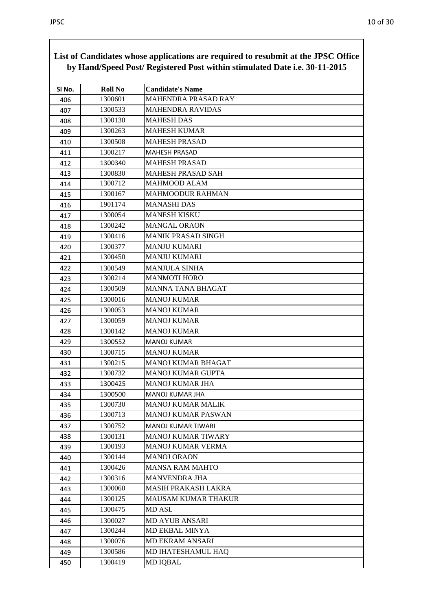|        | List of Candidates whose applications are required to resubility at the 31 SC Office<br>by Hand/Speed Post/ Registered Post within stimulated Date i.e. 30-11-2015 |                            |  |
|--------|--------------------------------------------------------------------------------------------------------------------------------------------------------------------|----------------------------|--|
| SI No. | <b>Roll No</b>                                                                                                                                                     | <b>Candidate's Name</b>    |  |
| 406    | 1300601                                                                                                                                                            | <b>MAHENDRA PRASAD RAY</b> |  |
| 407    | 1300533                                                                                                                                                            | <b>MAHENDRA RAVIDAS</b>    |  |
| 408    | 1300130                                                                                                                                                            | <b>MAHESH DAS</b>          |  |
| 409    | 1300263                                                                                                                                                            | <b>MAHESH KUMAR</b>        |  |
| 410    | 1300508                                                                                                                                                            | <b>MAHESH PRASAD</b>       |  |
| 411    | 1300217                                                                                                                                                            | <b>MAHESH PRASAD</b>       |  |
| 412    | 1300340                                                                                                                                                            | <b>MAHESH PRASAD</b>       |  |
| 413    | 1300830                                                                                                                                                            | <b>MAHESH PRASAD SAH</b>   |  |
| 414    | 1300712                                                                                                                                                            | <b>MAHMOOD ALAM</b>        |  |
| 415    | 1300167                                                                                                                                                            | MAHMOODUR RAHMAN           |  |
| 416    | 1901174                                                                                                                                                            | <b>MANASHI DAS</b>         |  |
| 417    | 1300054                                                                                                                                                            | <b>MANESH KISKU</b>        |  |
| 418    | 1300242                                                                                                                                                            | <b>MANGAL ORAON</b>        |  |
| 419    | 1300416                                                                                                                                                            | <b>MANIK PRASAD SINGH</b>  |  |
| 420    | 1300377                                                                                                                                                            | <b>MANJU KUMARI</b>        |  |
| 421    | 1300450                                                                                                                                                            | <b>MANJU KUMARI</b>        |  |
| 422    | 1300549                                                                                                                                                            | <b>MANJULA SINHA</b>       |  |
| 423    | 1300214                                                                                                                                                            | <b>MANMOTI HORO</b>        |  |
| 424    | 1300509                                                                                                                                                            | <b>MANNA TANA BHAGAT</b>   |  |
| 425    | 1300016                                                                                                                                                            | <b>MANOJ KUMAR</b>         |  |
| 426    | 1300053                                                                                                                                                            | MANOJ KUMAR                |  |
| 427    | 1300059                                                                                                                                                            | <b>MANOJ KUMAR</b>         |  |
| 428    | 1300142                                                                                                                                                            | <b>MANOJ KUMAR</b>         |  |
| 429    | 1300552                                                                                                                                                            | <b>MANOJ KUMAR</b>         |  |
| 430    | 1300715                                                                                                                                                            | <b>MANOJ KUMAR</b>         |  |
| 431    | 1300215                                                                                                                                                            | <b>MANOJ KUMAR BHAGAT</b>  |  |
| 432    | 1300732                                                                                                                                                            | <b>MANOJ KUMAR GUPTA</b>   |  |
| 433    | 1300425                                                                                                                                                            | MANOJ KUMAR JHA            |  |
| 434    | 1300500                                                                                                                                                            | <b>MANOJ KUMAR JHA</b>     |  |
| 435    | 1300730                                                                                                                                                            | <b>MANOJ KUMAR MALIK</b>   |  |
| 436    | 1300713                                                                                                                                                            | <b>MANOJ KUMAR PASWAN</b>  |  |
| 437    | 1300752                                                                                                                                                            | MANOJ KUMAR TIWARI         |  |
| 438    | 1300131                                                                                                                                                            | <b>MANOJ KUMAR TIWARY</b>  |  |
| 439    | 1300193                                                                                                                                                            | <b>MANOJ KUMAR VERMA</b>   |  |
| 440    | 1300144                                                                                                                                                            | <b>MANOJ ORAON</b>         |  |
| 441    | 1300426                                                                                                                                                            | <b>MANSA RAM MAHTO</b>     |  |
| 442    | 1300316                                                                                                                                                            | <b>MANVENDRA JHA</b>       |  |
| 443    | 1300060                                                                                                                                                            | <b>MASIH PRAKASH LAKRA</b> |  |
| 444    | 1300125                                                                                                                                                            | MAUSAM KUMAR THAKUR        |  |
| 445    | 1300475                                                                                                                                                            | MD ASL                     |  |
| 446    | 1300027                                                                                                                                                            | <b>MD AYUB ANSARI</b>      |  |
| 447    | 1300244                                                                                                                                                            | MD EKBAL MINYA             |  |
| 448    | 1300076                                                                                                                                                            | <b>MD EKRAM ANSARI</b>     |  |
| 449    | 1300586                                                                                                                                                            | MD IHATESHAMUL HAQ         |  |
| 450    | 1300419                                                                                                                                                            | <b>MD IQBAL</b>            |  |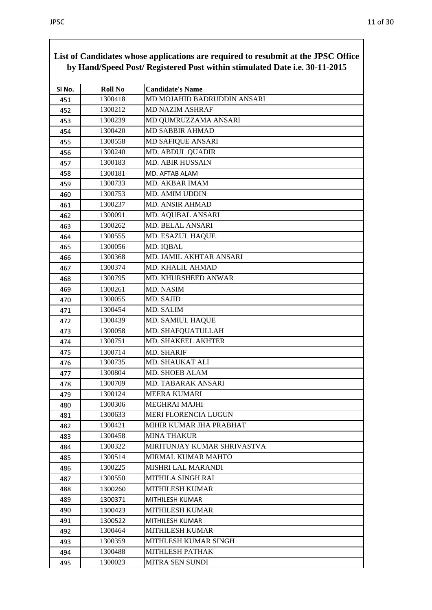| SI No. | <b>Roll No</b> | <b>Candidate's Name</b>     |
|--------|----------------|-----------------------------|
| 451    | 1300418        | MD MOJAHID BADRUDDIN ANSARI |
| 452    | 1300212        | <b>MD NAZIM ASHRAF</b>      |
| 453    | 1300239        | MD QUMRUZZAMA ANSARI        |
| 454    | 1300420        | <b>MD SABBIR AHMAD</b>      |
| 455    | 1300558        | MD SAFIQUE ANSARI           |
| 456    | 1300240        | MD. ABDUL QUADIR            |
| 457    | 1300183        | <b>MD. ABIR HUSSAIN</b>     |
| 458    | 1300181        | MD. AFTAB ALAM              |
| 459    | 1300733        | MD. AKBAR IMAM              |
| 460    | 1300753        | <b>MD. AMIM UDDIN</b>       |
| 461    | 1300237        | <b>MD. ANSIR AHMAD</b>      |
| 462    | 1300091        | MD. AQUBAL ANSARI           |
| 463    | 1300262        | <b>MD. BELAL ANSARI</b>     |
| 464    | 1300555        | MD. ESAZUL HAQUE            |
| 465    | 1300056        | MD. IQBAL                   |
| 466    | 1300368        | MD. JAMIL AKHTAR ANSARI     |
| 467    | 1300374        | MD. KHALIL AHMAD            |
| 468    | 1300795        | MD. KHURSHEED ANWAR         |
| 469    | 1300261        | <b>MD. NASIM</b>            |
| 470    | 1300055        | MD. SAJID                   |
| 471    | 1300454        | MD. SALIM                   |
| 472    | 1300439        | <b>MD. SAMIUL HAQUE</b>     |
| 473    | 1300058        | MD. SHAFQUATULLAH           |
| 474    | 1300751        | MD. SHAKEEL AKHTER          |
| 475    | 1300714        | <b>MD. SHARIF</b>           |
| 476    | 1300735        | MD. SHAUKAT ALI             |
| 477    | 1300804        | MD. SHOEB ALAM              |
| 478    | 1300709        | MD. TABARAK ANSARI          |
| 479    | 1300124        | MEERA KUMARI                |
| 480    | 1300306        | MEGHRAI MAJHI               |
| 481    | 1300633        | MERI FLORENCIA LUGUN        |
| 482    | 1300421        | MIHIR KUMAR JHA PRABHAT     |
| 483    | 1300458        | <b>MINA THAKUR</b>          |
| 484    | 1300322        | MIRITUNJAY KUMAR SHRIVASTVA |
| 485    | 1300514        | MIRMAL KUMAR MAHTO          |
| 486    | 1300225        | <b>MISHRI LAL MARANDI</b>   |
| 487    | 1300550        | MITHILA SINGH RAI           |
| 488    | 1300260        | <b>MITHILESH KUMAR</b>      |
| 489    | 1300371        | MITHILESH KUMAR             |
| 490    | 1300423        | <b>MITHILESH KUMAR</b>      |
| 491    | 1300522        | MITHILESH KUMAR             |
| 492    | 1300464        | <b>MITHILESH KUMAR</b>      |
| 493    | 1300359        | MITHLESH KUMAR SINGH        |
| 494    | 1300488        | <b>MITHLESH PATHAK</b>      |
| 495    | 1300023        | MITRA SEN SUNDI             |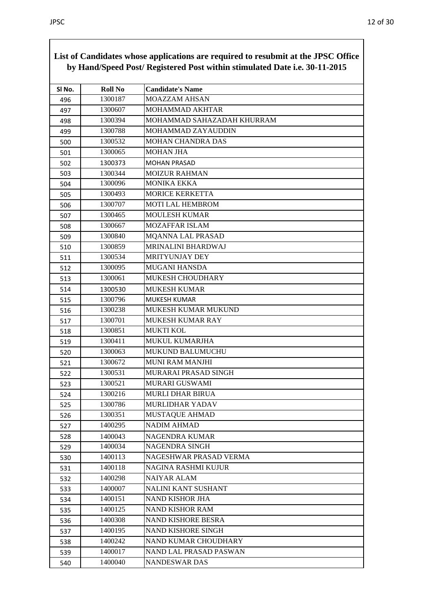| SI No. | <b>Roll No</b> | <b>Candidate's Name</b>    |
|--------|----------------|----------------------------|
| 496    | 1300187        | <b>MOAZZAM AHSAN</b>       |
| 497    | 1300607        | MOHAMMAD AKHTAR            |
| 498    | 1300394        | MOHAMMAD SAHAZADAH KHURRAM |
| 499    | 1300788        | MOHAMMAD ZAYAUDDIN         |
| 500    | 1300532        | <b>MOHAN CHANDRA DAS</b>   |
| 501    | 1300065        | <b>MOHAN JHA</b>           |
| 502    | 1300373        | <b>MOHAN PRASAD</b>        |
| 503    | 1300344        | <b>MOIZUR RAHMAN</b>       |
| 504    | 1300096        | <b>MONIKA EKKA</b>         |
| 505    | 1300493        | <b>MORICE KERKETTA</b>     |
| 506    | 1300707        | <b>MOTI LAL HEMBROM</b>    |
| 507    | 1300465        | <b>MOULESH KUMAR</b>       |
| 508    | 1300667        | <b>MOZAFFAR ISLAM</b>      |
| 509    | 1300840        | <b>MQANNA LAL PRASAD</b>   |
| 510    | 1300859        | MRINALINI BHARDWAJ         |
| 511    | 1300534        | <b>MRITYUNJAY DEY</b>      |
| 512    | 1300095        | <b>MUGANI HANSDA</b>       |
| 513    | 1300061        | MUKESH CHOUDHARY           |
| 514    | 1300530        | <b>MUKESH KUMAR</b>        |
| 515    | 1300796        | MUKESH KUMAR               |
| 516    | 1300238        | MUKESH KUMAR MUKUND        |
| 517    | 1300701        | MUKESH KUMAR RAY           |
| 518    | 1300851        | <b>MUKTI KOL</b>           |
| 519    | 1300411        | <b>MUKUL KUMARJHA</b>      |
| 520    | 1300063        | MUKUND BALUMUCHU           |
| 521    | 1300672        | <b>MUNI RAM MANJHI</b>     |
| 522    | 1300531        | MURARAI PRASAD SINGH       |
| 523    | 1300521        | MURARI GUSWAMI             |
| 524    | 1300216        | <b>MURLI DHAR BIRUA</b>    |
| 525    | 1300786        | <b>MURLIDHAR YADAV</b>     |
| 526    | 1300351        | MUSTAQUE AHMAD             |
| 527    | 1400295        | <b>NADIM AHMAD</b>         |
| 528    | 1400043        | <b>NAGENDRA KUMAR</b>      |
| 529    | 1400034        | NAGENDRA SINGH             |
| 530    | 1400113        | NAGESHWAR PRASAD VERMA     |
| 531    | 1400118        | NAGINA RASHMI KUJUR        |
| 532    | 1400298        | <b>NAIYAR ALAM</b>         |
| 533    | 1400007        | NALINI KANT SUSHANT        |
| 534    | 1400151        | <b>NAND KISHOR JHA</b>     |
| 535    | 1400125        | <b>NAND KISHOR RAM</b>     |
| 536    | 1400308        | <b>NAND KISHORE BESRA</b>  |
| 537    | 1400195        | NAND KISHORE SINGH         |
| 538    | 1400242        | NAND KUMAR CHOUDHARY       |
| 539    | 1400017        | NAND LAL PRASAD PASWAN     |
| 540    | 1400040        | <b>NANDESWAR DAS</b>       |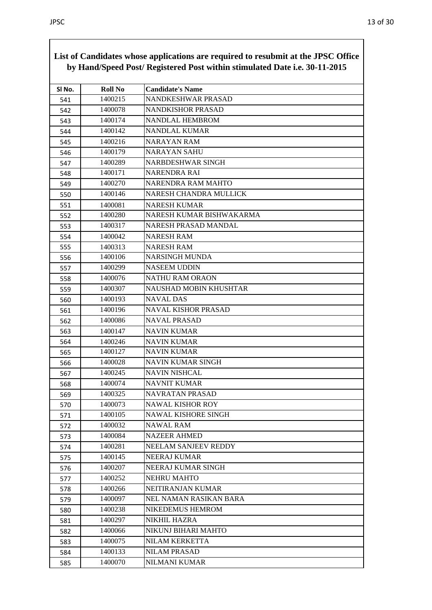| SI No. | <b>Roll No</b> | <b>Candidate's Name</b>     |
|--------|----------------|-----------------------------|
| 541    | 1400215        | NANDKESHWAR PRASAD          |
| 542    | 1400078        | NANDKISHOR PRASAD           |
| 543    | 1400174        | NANDLAL HEMBROM             |
| 544    | 1400142        | NANDLAL KUMAR               |
| 545    | 1400216        | <b>NARAYAN RAM</b>          |
| 546    | 1400179        | <b>NARAYAN SAHU</b>         |
| 547    | 1400289        | NARBDESHWAR SINGH           |
| 548    | 1400171        | <b>NARENDRA RAI</b>         |
| 549    | 1400270        | NARENDRA RAM MAHTO          |
| 550    | 1400146        | NARESH CHANDRA MULLICK      |
| 551    | 1400081        | <b>NARESH KUMAR</b>         |
| 552    | 1400280        | NARESH KUMAR BISHWAKARMA    |
| 553    | 1400317        | NARESH PRASAD MANDAL        |
| 554    | 1400042        | <b>NARESH RAM</b>           |
| 555    | 1400313        | <b>NARESH RAM</b>           |
| 556    | 1400106        | <b>NARSINGH MUNDA</b>       |
| 557    | 1400299        | <b>NASEEM UDDIN</b>         |
| 558    | 1400076        | <b>NATHU RAM ORAON</b>      |
| 559    | 1400307        | NAUSHAD MOBIN KHUSHTAR      |
| 560    | 1400193        | <b>NAVAL DAS</b>            |
| 561    | 1400196        | NAVAL KISHOR PRASAD         |
| 562    | 1400086        | <b>NAVAL PRASAD</b>         |
| 563    | 1400147        | <b>NAVIN KUMAR</b>          |
| 564    | 1400246        | NAVIN KUMAR                 |
| 565    | 1400127        | <b>NAVIN KUMAR</b>          |
| 566    | 1400028        | <b>NAVIN KUMAR SINGH</b>    |
| 567    | 1400245        | <b>NAVIN NISHCAL</b>        |
| 568    | 1400074        | <b>NAVNIT KUMAR</b>         |
| 569    | 1400325        | NAVRATAN PRASAD             |
| 570    | 1400073        | <b>NAWAL KISHOR ROY</b>     |
| 571    | 1400105        | <b>NAWAL KISHORE SINGH</b>  |
| 572    | 1400032        | NAWAL RAM                   |
| 573    | 1400084        | <b>NAZEER AHMED</b>         |
| 574    | 1400281        | <b>NEELAM SANJEEV REDDY</b> |
| 575    | 1400145        | <b>NEERAJ KUMAR</b>         |
| 576    | 1400207        | NEERAJ KUMAR SINGH          |
| 577    | 1400252        | NEHRU MAHTO                 |
| 578    | 1400266        | NEITIRANJAN KUMAR           |
| 579    | 1400097        | NEL NAMAN RASIKAN BARA      |
| 580    | 1400238        | <b>NIKEDEMUS HEMROM</b>     |
| 581    | 1400297        | <b>NIKHIL HAZRA</b>         |
| 582    | 1400066        | NIKUNJ BIHARI MAHTO         |
| 583    | 1400075        | NILAM KERKETTA              |
| 584    | 1400133        | <b>NILAM PRASAD</b>         |
| 585    | 1400070        | NILMANI KUMAR               |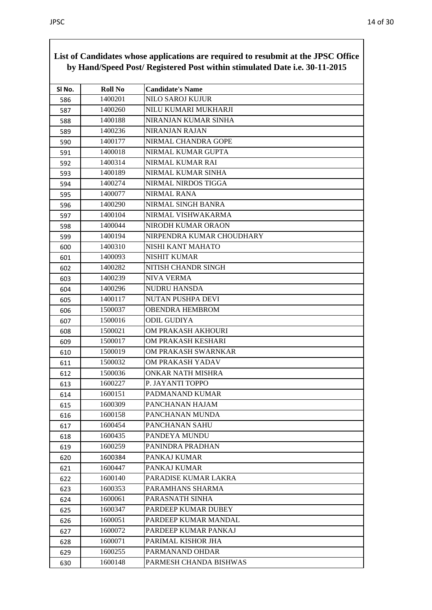| SI No. | <b>Roll No</b> | <b>Candidate's Name</b>   |
|--------|----------------|---------------------------|
| 586    | 1400201        | <b>NILO SAROJ KUJUR</b>   |
| 587    | 1400260        | NILU KUMARI MUKHARJI      |
| 588    | 1400188        | NIRANJAN KUMAR SINHA      |
| 589    | 1400236        | NIRANJAN RAJAN            |
| 590    | 1400177        | NIRMAL CHANDRA GOPE       |
| 591    | 1400018        | NIRMAL KUMAR GUPTA        |
| 592    | 1400314        | NIRMAL KUMAR RAI          |
| 593    | 1400189        | NIRMAL KUMAR SINHA        |
| 594    | 1400274        | NIRMAL NIRDOS TIGGA       |
| 595    | 1400077        | <b>NIRMAL RANA</b>        |
| 596    | 1400290        | NIRMAL SINGH BANRA        |
| 597    | 1400104        | NIRMAL VISHWAKARMA        |
| 598    | 1400044        | NIRODH KUMAR ORAON        |
| 599    | 1400194        | NIRPENDRA KUMAR CHOUDHARY |
| 600    | 1400310        | NISHI KANT MAHATO         |
| 601    | 1400093        | <b>NISHIT KUMAR</b>       |
| 602    | 1400282        | NITISH CHANDR SINGH       |
| 603    | 1400239        | <b>NIVA VERMA</b>         |
| 604    | 1400296        | <b>NUDRU HANSDA</b>       |
| 605    | 1400117        | NUTAN PUSHPA DEVI         |
| 606    | 1500037        | <b>OBENDRA HEMBROM</b>    |
| 607    | 1500016        | <b>ODIL GUDIYA</b>        |
| 608    | 1500021        | OM PRAKASH AKHOURI        |
| 609    | 1500017        | OM PRAKASH KESHARI        |
| 610    | 1500019        | OM PRAKASH SWARNKAR       |
| 611    | 1500032        | OM PRAKASH YADAV          |
| 612    | 1500036        | <b>ONKAR NATH MISHRA</b>  |
| 613    | 1600227        | P. JAYANTI TOPPO          |
| 614    | 1600151        | PADMANAND KUMAR           |
| 615    | 1600309        | PANCHANAN HAJAM           |
| 616    | 1600158        | PANCHANAN MUNDA           |
| 617    | 1600454        | PANCHANAN SAHU            |
| 618    | 1600435        | PANDEYA MUNDU             |
| 619    | 1600259        | PANINDRA PRADHAN          |
| 620    | 1600384        | PANKAJ KUMAR              |
| 621    | 1600447        | PANKAJ KUMAR              |
| 622    | 1600140        | PARADISE KUMAR LAKRA      |
| 623    | 1600353        | PARAMHANS SHARMA          |
| 624    | 1600061        | PARASNATH SINHA           |
| 625    | 1600347        | PARDEEP KUMAR DUBEY       |
| 626    | 1600051        | PARDEEP KUMAR MANDAL      |
| 627    | 1600072        | PARDEEP KUMAR PANKAJ      |
| 628    | 1600071        | PARIMAL KISHOR JHA        |
| 629    | 1600255        | PARMANAND OHDAR           |
| 630    | 1600148        | PARMESH CHANDA BISHWAS    |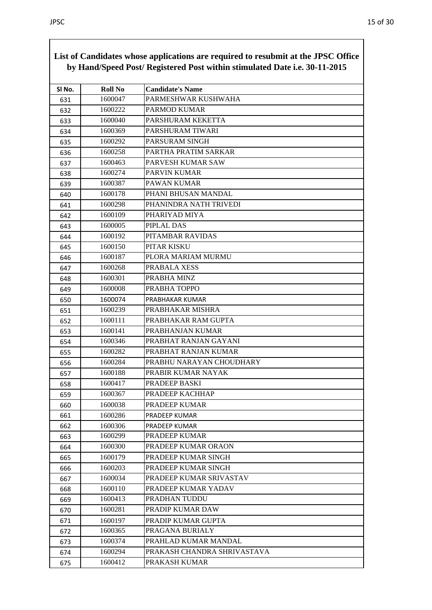|        |                | by Hand/Speed Post/ Registered Post within stimulated Date i.e. 30-11-2015 |
|--------|----------------|----------------------------------------------------------------------------|
| SI No. | <b>Roll No</b> | <b>Candidate's Name</b>                                                    |
| 631    | 1600047        | PARMESHWAR KUSHWAHA                                                        |
| 632    | 1600222        | <b>PARMOD KUMAR</b>                                                        |
| 633    | 1600040        | PARSHURAM KEKETTA                                                          |
| 634    | 1600369        | PARSHURAM TIWARI                                                           |
| 635    | 1600292        | PARSURAM SINGH                                                             |
| 636    | 1600258        | PARTHA PRATIM SARKAR                                                       |
| 637    | 1600463        | PARVESH KUMAR SAW                                                          |
| 638    | 1600274        | <b>PARVIN KUMAR</b>                                                        |
| 639    | 1600387        | PAWAN KUMAR                                                                |
| 640    | 1600178        | PHANI BHUSAN MANDAL                                                        |
| 641    | 1600298        | PHANINDRA NATH TRIVEDI                                                     |
| 642    | 1600109        | PHARIYAD MIYA                                                              |
| 643    | 1600005        | PIPLAL DAS                                                                 |
| 644    | 1600192        | PITAMBAR RAVIDAS                                                           |
| 645    | 1600150        | PITAR KISKU                                                                |
| 646    | 1600187        | PLORA MARIAM MURMU                                                         |
| 647    | 1600268        | PRABALA XESS                                                               |
| 648    | 1600301        | PRABHA MINZ                                                                |
| 649    | 1600008        | PRABHA TOPPO                                                               |
| 650    | 1600074        | PRABHAKAR KUMAR                                                            |
| 651    | 1600239        | PRABHAKAR MISHRA                                                           |
| 652    | 1600111        | PRABHAKAR RAM GUPTA                                                        |
| 653    | 1600141        | PRABHANJAN KUMAR                                                           |
| 654    | 1600346        | PRABHAT RANJAN GAYANI                                                      |
| 655    | 1600282        | PRABHAT RANJAN KUMAR                                                       |
| 656    | 1600284        | PRABHU NARAYAN CHOUDHARY                                                   |
| 657    | 1600188        | PRABIR KUMAR NAYAK                                                         |
| 658    | 1600417        | PRADEEP BASKI                                                              |
| 659    | 1600367        | PRADEEP KACHHAP                                                            |
| 660    | 1600038        | PRADEEP KUMAR                                                              |
| 661    | 1600286        | PRADEEP KUMAR                                                              |
| 662    | 1600306        | PRADEEP KUMAR                                                              |
| 663    | 1600299        | PRADEEP KUMAR                                                              |
| 664    | 1600300        | PRADEEP KUMAR ORAON                                                        |
| 665    | 1600179        | PRADEEP KUMAR SINGH                                                        |
| 666    | 1600203        | PRADEEP KUMAR SINGH                                                        |
| 667    | 1600034        | PRADEEP KUMAR SRIVASTAV                                                    |
| 668    | 1600110        | PRADEEP KUMAR YADAV                                                        |
| 669    | 1600413        | PRADHAN TUDDU                                                              |
| 670    | 1600281        | PRADIP KUMAR DAW                                                           |
| 671    | 1600197        | PRADIP KUMAR GUPTA                                                         |
| 672    | 1600365        | PRAGANA BURIALY                                                            |
| 673    | 1600374        | PRAHLAD KUMAR MANDAL                                                       |
| 674    | 1600294        | PRAKASH CHANDRA SHRIVASTAVA                                                |
| 675    | 1600412        | PRAKASH KUMAR                                                              |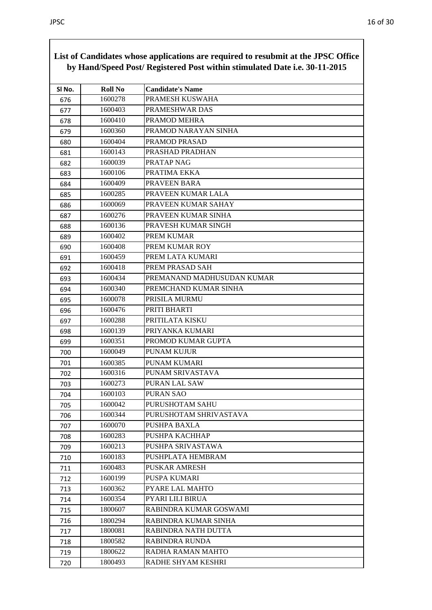|        |                | List of Canunates whose applications are required to resubility at the 91 DC Office<br>by Hand/Speed Post/ Registered Post within stimulated Date i.e. 30-11-2015 |
|--------|----------------|-------------------------------------------------------------------------------------------------------------------------------------------------------------------|
| SI No. | <b>Roll No</b> | <b>Candidate's Name</b>                                                                                                                                           |
| 676    | 1600278        | PRAMESH KUSWAHA                                                                                                                                                   |
| 677    | 1600403        | PRAMESHWAR DAS                                                                                                                                                    |
| 678    | 1600410        | PRAMOD MEHRA                                                                                                                                                      |
| 679    | 1600360        | PRAMOD NARAYAN SINHA                                                                                                                                              |
| 680    | 1600404        | PRAMOD PRASAD                                                                                                                                                     |
| 681    | 1600143        | PRASHAD PRADHAN                                                                                                                                                   |
| 682    | 1600039        | PRATAP NAG                                                                                                                                                        |
| 683    | 1600106        | PRATIMA EKKA                                                                                                                                                      |
| 684    | 1600409        | PRAVEEN BARA                                                                                                                                                      |
| 685    | 1600285        | PRAVEEN KUMAR LALA                                                                                                                                                |
| 686    | 1600069        | PRAVEEN KUMAR SAHAY                                                                                                                                               |
| 687    | 1600276        | PRAVEEN KUMAR SINHA                                                                                                                                               |
| 688    | 1600136        | PRAVESH KUMAR SINGH                                                                                                                                               |
| 689    | 1600402        | PREM KUMAR                                                                                                                                                        |
| 690    | 1600408        | PREM KUMAR ROY                                                                                                                                                    |
| 691    | 1600459        | PREM LATA KUMARI                                                                                                                                                  |
| 692    | 1600418        | PREM PRASAD SAH                                                                                                                                                   |
| 693    | 1600434        | PREMANAND MADHUSUDAN KUMAR                                                                                                                                        |
| 694    | 1600340        | PREMCHAND KUMAR SINHA                                                                                                                                             |
| 695    | 1600078        | PRISILA MURMU                                                                                                                                                     |
| 696    | 1600476        | PRITI BHARTI                                                                                                                                                      |
| 697    | 1600288        | PRITILATA KISKU                                                                                                                                                   |
| 698    | 1600139        | PRIYANKA KUMARI                                                                                                                                                   |
| 699    | 1600351        | PROMOD KUMAR GUPTA                                                                                                                                                |
| 700    | 1600049        | PUNAM KUJUR                                                                                                                                                       |
| 701    | 1600385        | PUNAM KUMARI                                                                                                                                                      |
| 702    | 1600316        | PUNAM SRIVASTAVA                                                                                                                                                  |
| 703    | 1600273        | PURAN LAL SAW                                                                                                                                                     |
| 704    | 1600103        | <b>PURAN SAO</b>                                                                                                                                                  |
| 705    | 1600042        | PURUSHOTAM SAHU                                                                                                                                                   |
| 706    | 1600344        | PURUSHOTAM SHRIVASTAVA                                                                                                                                            |
| 707    | 1600070        | PUSHPA BAXLA                                                                                                                                                      |
| 708    | 1600283        | PUSHPA KACHHAP                                                                                                                                                    |
| 709    | 1600213        | PUSHPA SRIVASTAWA                                                                                                                                                 |
| 710    | 1600183        | PUSHPLATA HEMBRAM                                                                                                                                                 |
| 711    | 1600483        | <b>PUSKAR AMRESH</b>                                                                                                                                              |
| 712    | 1600199        | PUSPA KUMARI                                                                                                                                                      |
| 713    | 1600362        | PYARE LAL MAHTO                                                                                                                                                   |
| 714    | 1600354        | PYARI LILI BIRUA                                                                                                                                                  |
| 715    | 1800607        | RABINDRA KUMAR GOSWAMI                                                                                                                                            |
| 716    | 1800294        | RABINDRA KUMAR SINHA                                                                                                                                              |
| 717    | 1800081        | RABINDRA NATH DUTTA                                                                                                                                               |
| 718    | 1800582        | <b>RABINDRA RUNDA</b>                                                                                                                                             |
| 719    | 1800622        | RADHA RAMAN MAHTO                                                                                                                                                 |
| 720    | 1800493        | RADHE SHYAM KESHRI                                                                                                                                                |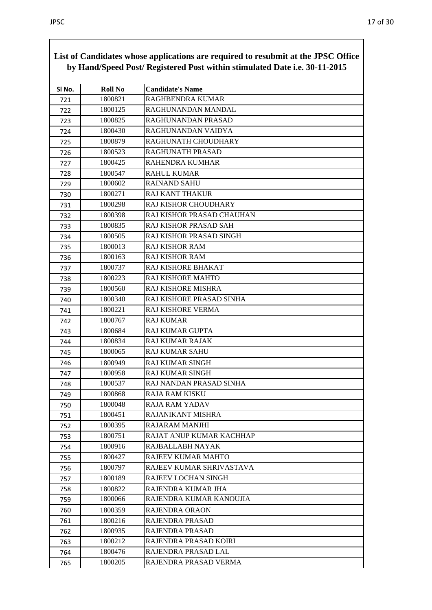|        |                | of candidates whose applications are required to resubtint at the $0100$ Office<br>by Hand/Speed Post/ Registered Post within stimulated Date i.e. 30-11-2015 |
|--------|----------------|---------------------------------------------------------------------------------------------------------------------------------------------------------------|
| SI No. | <b>Roll No</b> | <b>Candidate's Name</b>                                                                                                                                       |
| 721    | 1800821        | RAGHBENDRA KUMAR                                                                                                                                              |
| 722    | 1800125        | RAGHUNANDAN MANDAL                                                                                                                                            |
| 723    | 1800825        | RAGHUNANDAN PRASAD                                                                                                                                            |
| 724    | 1800430        | RAGHUNANDAN VAIDYA                                                                                                                                            |
| 725    | 1800879        | RAGHUNATH CHOUDHARY                                                                                                                                           |
| 726    | 1800523        | <b>RAGHUNATH PRASAD</b>                                                                                                                                       |
| 727    | 1800425        | RAHENDRA KUMHAR                                                                                                                                               |
| 728    | 1800547        | <b>RAHUL KUMAR</b>                                                                                                                                            |
| 729    | 1800602        | <b>RAINAND SAHU</b>                                                                                                                                           |
| 730    | 1800271        | <b>RAJ KANT THAKUR</b>                                                                                                                                        |
| 731    | 1800298        | RAJ KISHOR CHOUDHARY                                                                                                                                          |
| 732    | 1800398        | RAJ KISHOR PRASAD CHAUHAN                                                                                                                                     |
| 733    | 1800835        | RAJ KISHOR PRASAD SAH                                                                                                                                         |
| 734    | 1800505        | RAJ KISHOR PRASAD SINGH                                                                                                                                       |
| 735    | 1800013        | RAJ KISHOR RAM                                                                                                                                                |
| 736    | 1800163        | <b>RAJ KISHOR RAM</b>                                                                                                                                         |
| 737    | 1800737        | RAJ KISHORE BHAKAT                                                                                                                                            |
| 738    | 1800223        | RAJ KISHORE MAHTO                                                                                                                                             |
| 739    | 1800560        | RAJ KISHORE MISHRA                                                                                                                                            |
| 740    | 1800340        | RAJ KISHORE PRASAD SINHA                                                                                                                                      |
| 741    | 1800221        | RAJ KISHORE VERMA                                                                                                                                             |
| 742    | 1800767        | <b>RAJ KUMAR</b>                                                                                                                                              |
| 743    | 1800684        | <b>RAJ KUMAR GUPTA</b>                                                                                                                                        |
| 744    | 1800834        | <b>RAJ KUMAR RAJAK</b>                                                                                                                                        |
| 745    | 1800065        | RAJ KUMAR SAHU                                                                                                                                                |
| 746    | 1800949        | <b>RAJ KUMAR SINGH</b>                                                                                                                                        |
| 747    | 1800958        | RAJ KUMAR SINGH                                                                                                                                               |
| 748    | 1800537        | RAJ NANDAN PRASAD SINHA                                                                                                                                       |
| 749    | 1800868        | RAJA RAM KISKU                                                                                                                                                |
| 750    | 1800048        | <b>RAJA RAM YADAV</b>                                                                                                                                         |
| 751    | 1800451        | RAJANIKANT MISHRA                                                                                                                                             |
| 752    | 1800395        | RAJARAM MANJHI                                                                                                                                                |
| 753    | 1800751        | RAJAT ANUP KUMAR KACHHAP                                                                                                                                      |
| 754    | 1800916        | RAJBALLABH NAYAK                                                                                                                                              |
| 755    | 1800427        | RAJEEV KUMAR MAHTO                                                                                                                                            |
| 756    | 1800797        | RAJEEV KUMAR SHRIVASTAVA                                                                                                                                      |
| 757    | 1800189        | RAJEEV LOCHAN SINGH                                                                                                                                           |
| 758    | 1800822        | RAJENDRA KUMAR JHA                                                                                                                                            |
| 759    | 1800066        | RAJENDRA KUMAR KANOUJIA                                                                                                                                       |
| 760    | 1800359        | <b>RAJENDRA ORAON</b>                                                                                                                                         |
| 761    | 1800216        | RAJENDRA PRASAD                                                                                                                                               |
| 762    | 1800935        | RAJENDRA PRASAD                                                                                                                                               |
| 763    | 1800212        | RAJENDRA PRASAD KOIRI                                                                                                                                         |
| 764    | 1800476        | RAJENDRA PRASAD LAL                                                                                                                                           |
| 765    | 1800205        | RAJENDRA PRASAD VERMA                                                                                                                                         |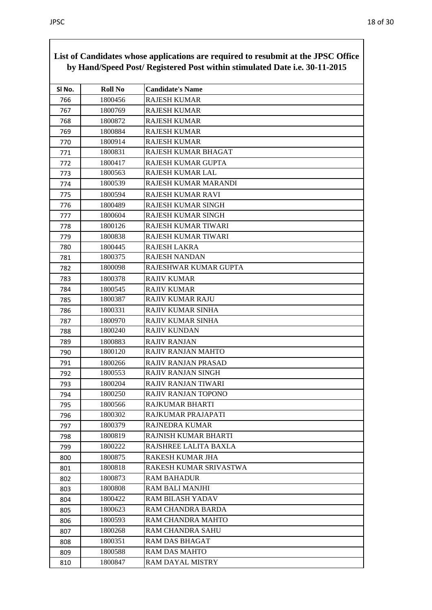|        |                | by Hand/Speed Post/ Registered Post within stimulated Date i.e. 30-11-2015 |
|--------|----------------|----------------------------------------------------------------------------|
| SI No. | <b>Roll No</b> | <b>Candidate's Name</b>                                                    |
| 766    | 1800456        | <b>RAJESH KUMAR</b>                                                        |
| 767    | 1800769        | <b>RAJESH KUMAR</b>                                                        |
| 768    | 1800872        | <b>RAJESH KUMAR</b>                                                        |
| 769    | 1800884        | <b>RAJESH KUMAR</b>                                                        |
| 770    | 1800914        | <b>RAJESH KUMAR</b>                                                        |
| 771    | 1800831        | RAJESH KUMAR BHAGAT                                                        |
| 772    | 1800417        | <b>RAJESH KUMAR GUPTA</b>                                                  |
| 773    | 1800563        | RAJESH KUMAR LAL                                                           |
| 774    | 1800539        | RAJESH KUMAR MARANDI                                                       |
| 775    | 1800594        | <b>RAJESH KUMAR RAVI</b>                                                   |
| 776    | 1800489        | RAJESH KUMAR SINGH                                                         |
| 777    | 1800604        | <b>RAJESH KUMAR SINGH</b>                                                  |
| 778    | 1800126        | <b>RAJESH KUMAR TIWARI</b>                                                 |
| 779    | 1800838        | RAJESH KUMAR TIWARI                                                        |
| 780    | 1800445        | <b>RAJESH LAKRA</b>                                                        |
| 781    | 1800375        | <b>RAJESH NANDAN</b>                                                       |
| 782    | 1800098        | RAJESHWAR KUMAR GUPTA                                                      |
| 783    | 1800378        | <b>RAJIV KUMAR</b>                                                         |
| 784    | 1800545        | <b>RAJIV KUMAR</b>                                                         |
| 785    | 1800387        | <b>RAJIV KUMAR RAJU</b>                                                    |
| 786    | 1800331        | <b>RAJIV KUMAR SINHA</b>                                                   |
| 787    | 1800970        | RAJIV KUMAR SINHA                                                          |
| 788    | 1800240        | <b>RAJIV KUNDAN</b>                                                        |
| 789    | 1800883        | <b>RAJIV RANJAN</b>                                                        |
| 790    | 1800120        | RAJIV RANJAN MAHTO                                                         |
| 791    | 1800266        | RAJIV RANJAN PRASAD                                                        |
| 792    | 1800553        | <b>RAJIV RANJAN SINGH</b>                                                  |
| 793    | 1800204        | RAJIV RANJAN TIWARI                                                        |
| 794    | 1800250        | RAJIV RANJAN TOPONO                                                        |
| 795    | 1800566        | RAJKUMAR BHARTI                                                            |
| 796    | 1800302        | RAJKUMAR PRAJAPATI                                                         |
| 797    | 1800379        | <b>RAJNEDRA KUMAR</b>                                                      |
| 798    | 1800819        | RAJNISH KUMAR BHARTI                                                       |
| 799    | 1800222        | RAJSHREE LALITA BAXLA                                                      |
| 800    | 1800875        | RAKESH KUMAR JHA                                                           |
| 801    | 1800818        | RAKESH KUMAR SRIVASTWA                                                     |
| 802    | 1800873        | <b>RAM BAHADUR</b>                                                         |
| 803    | 1800808        | <b>RAM BALI MANJHI</b>                                                     |
| 804    | 1800422        | <b>RAM BILASH YADAV</b>                                                    |
| 805    | 1800623        | RAM CHANDRA BARDA                                                          |
| 806    | 1800593        | RAM CHANDRA MAHTO                                                          |
| 807    | 1800268        | <b>RAM CHANDRA SAHU</b>                                                    |
| 808    | 1800351        | RAM DAS BHAGAT                                                             |
| 809    | 1800588        | <b>RAM DAS MAHTO</b>                                                       |
| 810    | 1800847        | RAM DAYAL MISTRY                                                           |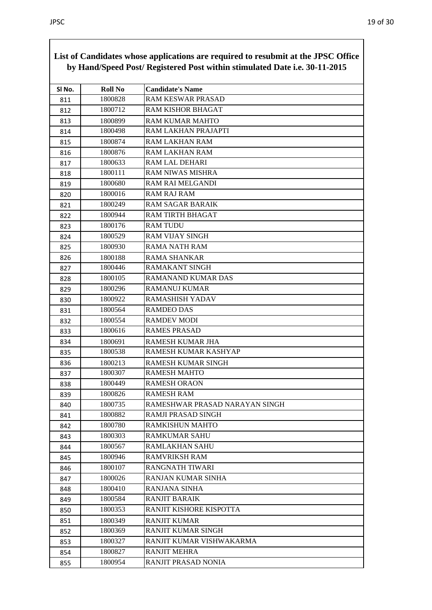| SI No. | <b>Roll No</b> | <b>Candidate's Name</b>        |
|--------|----------------|--------------------------------|
| 811    | 1800828        | <b>RAM KESWAR PRASAD</b>       |
| 812    | 1800712        | <b>RAM KISHOR BHAGAT</b>       |
| 813    | 1800899        | <b>RAM KUMAR MAHTO</b>         |
| 814    | 1800498        | RAM LAKHAN PRAJAPTI            |
| 815    | 1800874        | <b>RAM LAKHAN RAM</b>          |
| 816    | 1800876        | RAM LAKHAN RAM                 |
| 817    | 1800633        | RAM LAL DEHARI                 |
| 818    | 1800111        | <b>RAM NIWAS MISHRA</b>        |
| 819    | 1800680        | <b>RAM RAI MELGANDI</b>        |
| 820    | 1800016        | <b>RAM RAJ RAM</b>             |
| 821    | 1800249        | <b>RAM SAGAR BARAIK</b>        |
| 822    | 1800944        | <b>RAM TIRTH BHAGAT</b>        |
| 823    | 1800176        | <b>RAM TUDU</b>                |
| 824    | 1800529        | <b>RAM VIJAY SINGH</b>         |
| 825    | 1800930        | <b>RAMA NATH RAM</b>           |
| 826    | 1800188        | <b>RAMA SHANKAR</b>            |
| 827    | 1800446        | <b>RAMAKANT SINGH</b>          |
| 828    | 1800105        | RAMANAND KUMAR DAS             |
| 829    | 1800296        | <b>RAMANUJ KUMAR</b>           |
| 830    | 1800922        | <b>RAMASHISH YADAV</b>         |
| 831    | 1800564        | <b>RAMDEO DAS</b>              |
| 832    | 1800554        | <b>RAMDEV MODI</b>             |
| 833    | 1800616        | <b>RAMES PRASAD</b>            |
| 834    | 1800691        | <b>RAMESH KUMAR JHA</b>        |
| 835    | 1800538        | RAMESH KUMAR KASHYAP           |
| 836    | 1800213        | <b>RAMESH KUMAR SINGH</b>      |
| 837    | 1800307        | <b>RAMESH MAHTO</b>            |
| 838    | 1800449        | <b>RAMESH ORAON</b>            |
| 839    | 1800826        | RAMESH RAM                     |
| 840    | 1800735        | RAMESHWAR PRASAD NARAYAN SINGH |
| 841    | 1800882        | RAMJI PRASAD SINGH             |
| 842    | 1800780        | RAMKISHUN MAHTO                |
| 843    | 1800303        | <b>RAMKUMAR SAHU</b>           |
| 844    | 1800567        | <b>RAMLAKHAN SAHU</b>          |
| 845    | 1800946        | RAMVRIKSH RAM                  |
| 846    | 1800107        | <b>RANGNATH TIWARI</b>         |
| 847    | 1800026        | RANJAN KUMAR SINHA             |
| 848    | 1800410        | RANJANA SINHA                  |
| 849    | 1800584        | <b>RANJIT BARAIK</b>           |
| 850    | 1800353        | RANJIT KISHORE KISPOTTA        |
| 851    | 1800349        | <b>RANJIT KUMAR</b>            |
| 852    | 1800369        | <b>RANJIT KUMAR SINGH</b>      |
| 853    | 1800327        | RANJIT KUMAR VISHWAKARMA       |
| 854    | 1800827        | <b>RANJIT MEHRA</b>            |
| 855    | 1800954        | RANJIT PRASAD NONIA            |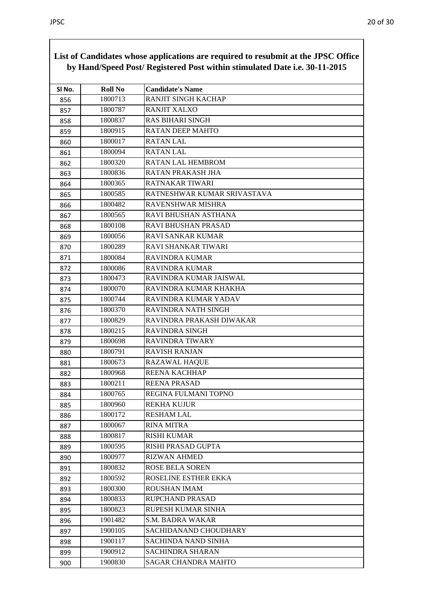|        |                | $1.2200$ mpp $\mu$<br>by Hand/Speed Post/ Registered Post within stimulated Date i.e. 30-11-2015 |
|--------|----------------|--------------------------------------------------------------------------------------------------|
| SI No. | <b>Roll No</b> | <b>Candidate's Name</b>                                                                          |
| 856    | 1800713        | <b>RANJIT SINGH KACHAP</b>                                                                       |
| 857    | 1800787        | <b>RANJIT XALXO</b>                                                                              |
| 858    | 1800837        | RAS BIHARI SINGH                                                                                 |
| 859    | 1800915        | <b>RATAN DEEP MAHTO</b>                                                                          |
| 860    | 1800017        | <b>RATAN LAL</b>                                                                                 |
| 861    | 1800094        | <b>RATAN LAL</b>                                                                                 |
| 862    | 1800320        | RATAN LAL HEMBROM                                                                                |
| 863    | 1800836        | RATAN PRAKASH JHA                                                                                |
| 864    | 1800365        | RATNAKAR TIWARI                                                                                  |
| 865    | 1800585        | RATNESHWAR KUMAR SRIVASTAVA                                                                      |
| 866    | 1800482        | RAVENSHWAR MISHRA                                                                                |
| 867    | 1800565        | RAVI BHUSHAN ASTHANA                                                                             |
| 868    | 1800108        | RAVI BHUSHAN PRASAD                                                                              |
| 869    | 1800056        | <b>RAVI SANKAR KUMAR</b>                                                                         |
| 870    | 1800289        | RAVI SHANKAR TIWARI                                                                              |
| 871    | 1800084        | <b>RAVINDRA KUMAR</b>                                                                            |
| 872    | 1800086        | <b>RAVINDRA KUMAR</b>                                                                            |
| 873    | 1800473        | RAVINDRA KUMAR JAISWAL                                                                           |
| 874    | 1800070        | RAVINDRA KUMAR KHAKHA                                                                            |
| 875    | 1800744        | RAVINDRA KUMAR YADAV                                                                             |
| 876    | 1800370        | RAVINDRA NATH SINGH                                                                              |
| 877    | 1800829        | RAVINDRA PRAKASH DIWAKAR                                                                         |
| 878    | 1800215        | <b>RAVINDRA SINGH</b>                                                                            |
| 879    | 1800698        | RAVINDRA TIWARY                                                                                  |
| 880    | 1800791        | <b>RAVISH RANJAN</b>                                                                             |
| 881    | 1800673        | <b>RAZAWAL HAQUE</b>                                                                             |
| 882    | 1800968        | REENA KACHHAP                                                                                    |
| 883    | 1800211        | <b>REENA PRASAD</b>                                                                              |
| 884    | 1800765        | REGINA FULMANI TOPNO                                                                             |
| 885    | 1800960        | <b>REKHA KUJUR</b>                                                                               |
| 886    | 1800172        | <b>RESHAM LAL</b>                                                                                |
| 887    | 1800067        | RINA MITRA                                                                                       |
| 888    | 1800817        | <b>RISHI KUMAR</b>                                                                               |
| 889    | 1800595        | RISHI PRASAD GUPTA                                                                               |
| 890    | 1800977        | <b>RIZWAN AHMED</b>                                                                              |
| 891    | 1800832        | <b>ROSE BELA SOREN</b>                                                                           |
| 892    | 1800592        | ROSELINE ESTHER EKKA                                                                             |
| 893    | 1800300        | ROUSHAN IMAM                                                                                     |
| 894    | 1800833        | <b>RUPCHAND PRASAD</b>                                                                           |
| 895    | 1800823        | RUPESH KUMAR SINHA                                                                               |
| 896    | 1901482        | S.M. BADRA WAKAR                                                                                 |
| 897    | 1900105        | <b>SACHIDANAND CHOUDHARY</b>                                                                     |
| 898    | 1900117        | SACHINDA NAND SINHA                                                                              |
| 899    | 1900912        | <b>SACHINDRA SHARAN</b>                                                                          |
| 900    | 1900830        | SAGAR CHANDRA MAHTO                                                                              |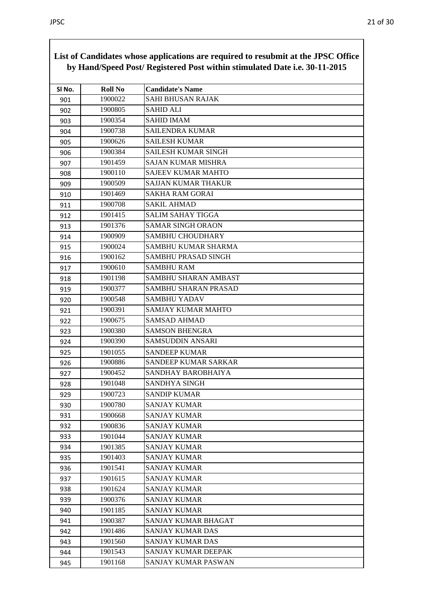|        |                | List of Candidates whose applications are required to resubmit at the JPSC Office<br>by Hand/Speed Post/ Registered Post within stimulated Date i.e. 30-11-2015 |
|--------|----------------|-----------------------------------------------------------------------------------------------------------------------------------------------------------------|
| SI No. | <b>Roll No</b> | <b>Candidate's Name</b>                                                                                                                                         |
| 901    | 1900022        | <b>SAHI BHUSAN RAJAK</b>                                                                                                                                        |
| 902    | 1900805        | <b>SAHID ALI</b>                                                                                                                                                |
| 903    | 1900354        | <b>SAHID IMAM</b>                                                                                                                                               |
| 904    | 1900738        | SAILENDRA KUMAR                                                                                                                                                 |
| 905    | 1900626        | <b>SAILESH KUMAR</b>                                                                                                                                            |
| 906    | 1900384        | <b>SAILESH KUMAR SINGH</b>                                                                                                                                      |
| 907    | 1901459        | <b>SAJAN KUMAR MISHRA</b>                                                                                                                                       |
| 908    | 1900110        | <b>SAJEEV KUMAR MAHTO</b>                                                                                                                                       |
| 909    | 1900509        | SAJJAN KUMAR THAKUR                                                                                                                                             |
| 910    | 1901469        | <b>SAKHA RAM GORAI</b>                                                                                                                                          |
| 911    | 1900708        | <b>SAKIL AHMAD</b>                                                                                                                                              |
| 912    | 1901415        | <b>SALIM SAHAY TIGGA</b>                                                                                                                                        |
| 913    | 1901376        | <b>SAMAR SINGH ORAON</b>                                                                                                                                        |
| 914    | 1900909        | SAMBHU CHOUDHARY                                                                                                                                                |
| 915    | 1900024        | SAMBHU KUMAR SHARMA                                                                                                                                             |
| 916    | 1900162        | SAMBHU PRASAD SINGH                                                                                                                                             |
| 917    | 1900610        | <b>SAMBHU RAM</b>                                                                                                                                               |
| 918    | 1901198        | SAMBHU SHARAN AMBAST                                                                                                                                            |
| 919    | 1900377        | SAMBHU SHARAN PRASAD                                                                                                                                            |
| 920    | 1900548        | <b>SAMBHU YADAV</b>                                                                                                                                             |
| 921    | 1900391        | <b>SAMJAY KUMAR MAHTO</b>                                                                                                                                       |
| 922    | 1900675        | <b>SAMSAD AHMAD</b>                                                                                                                                             |
| 923    | 1900380        | <b>SAMSON BHENGRA</b>                                                                                                                                           |
| 924    | 1900390        | <b>SAMSUDDIN ANSARI</b>                                                                                                                                         |
| 925    | 1901055        | <b>SANDEEP KUMAR</b>                                                                                                                                            |
| 926    | 1900886        | SANDEEP KUMAR SARKAR                                                                                                                                            |
| 927    | 1900452        | SANDHAY BAROBHAIYA                                                                                                                                              |
| 928    | 1901048        | <b>SANDHYA SINGH</b>                                                                                                                                            |
| 929    | 1900723        | <b>SANDIP KUMAR</b>                                                                                                                                             |
| 930    | 1900780        | <b>SANJAY KUMAR</b>                                                                                                                                             |
| 931    | 1900668        | <b>SANJAY KUMAR</b>                                                                                                                                             |
| 932    | 1900836        | SANJAY KUMAR                                                                                                                                                    |
| 933    | 1901044        | <b>SANJAY KUMAR</b>                                                                                                                                             |
| 934    | 1901385        | <b>SANJAY KUMAR</b>                                                                                                                                             |
| 935    | 1901403        | <b>SANJAY KUMAR</b>                                                                                                                                             |
| 936    | 1901541        | <b>SANJAY KUMAR</b>                                                                                                                                             |
| 937    | 1901615        | <b>SANJAY KUMAR</b>                                                                                                                                             |
| 938    | 1901624        | <b>SANJAY KUMAR</b>                                                                                                                                             |
| 939    | 1900376        | SANJAY KUMAR                                                                                                                                                    |
| 940    | 1901185        | <b>SANJAY KUMAR</b>                                                                                                                                             |
| 941    | 1900387        | SANJAY KUMAR BHAGAT                                                                                                                                             |
| 942    | 1901486        | <b>SANJAY KUMAR DAS</b>                                                                                                                                         |
| 943    | 1901560        | SANJAY KUMAR DAS                                                                                                                                                |
| 944    | 1901543        | SANJAY KUMAR DEEPAK                                                                                                                                             |
| 945    | 1901168        | SANJAY KUMAR PASWAN                                                                                                                                             |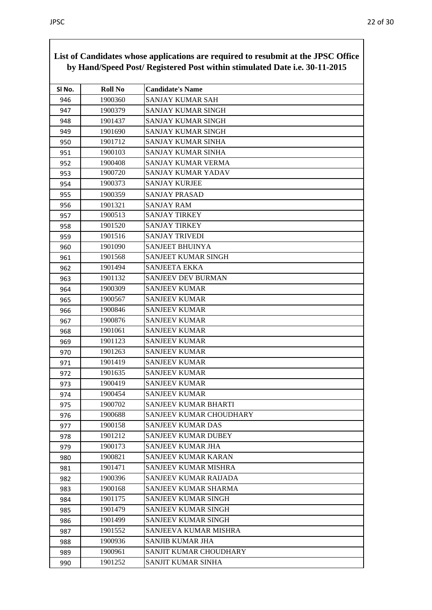|        |                | List of Candidates whose applications are required to resubmit at the JPSC Office<br>by Hand/Speed Post/ Registered Post within stimulated Date i.e. 30-11-2015 |
|--------|----------------|-----------------------------------------------------------------------------------------------------------------------------------------------------------------|
| SI No. | <b>Roll No</b> | <b>Candidate's Name</b>                                                                                                                                         |
| 946    | 1900360        | SANJAY KUMAR SAH                                                                                                                                                |
| 947    | 1900379        | SANJAY KUMAR SINGH                                                                                                                                              |
| 948    | 1901437        | SANJAY KUMAR SINGH                                                                                                                                              |
| 949    | 1901690        | SANJAY KUMAR SINGH                                                                                                                                              |
| 950    | 1901712        | SANJAY KUMAR SINHA                                                                                                                                              |
| 951    | 1900103        | SANJAY KUMAR SINHA                                                                                                                                              |
| 952    | 1900408        | SANJAY KUMAR VERMA                                                                                                                                              |
| 953    | 1900720        | SANJAY KUMAR YADAV                                                                                                                                              |
| 954    | 1900373        | <b>SANJAY KURJEE</b>                                                                                                                                            |
| 955    | 1900359        | <b>SANJAY PRASAD</b>                                                                                                                                            |
| 956    | 1901321        | <b>SANJAY RAM</b>                                                                                                                                               |
| 957    | 1900513        | <b>SANJAY TIRKEY</b>                                                                                                                                            |
| 958    | 1901520        | <b>SANJAY TIRKEY</b>                                                                                                                                            |
| 959    | 1901516        | <b>SANJAY TRIVEDI</b>                                                                                                                                           |
| 960    | 1901090        | <b>SANJEET BHUINYA</b>                                                                                                                                          |
| 961    | 1901568        | SANJEET KUMAR SINGH                                                                                                                                             |
| 962    | 1901494        | <b>SANJEETA EKKA</b>                                                                                                                                            |
| 963    | 1901132        | <b>SANJEEV DEV BURMAN</b>                                                                                                                                       |
| 964    | 1900309        | <b>SANJEEV KUMAR</b>                                                                                                                                            |
| 965    | 1900567        | <b>SANJEEV KUMAR</b>                                                                                                                                            |
| 966    | 1900846        | <b>SANJEEV KUMAR</b>                                                                                                                                            |
| 967    | 1900876        | <b>SANJEEV KUMAR</b>                                                                                                                                            |
| 968    | 1901061        | <b>SANJEEV KUMAR</b>                                                                                                                                            |
| 969    | 1901123        | <b>SANJEEV KUMAR</b>                                                                                                                                            |
| 970    | 1901263        | <b>SANJEEV KUMAR</b>                                                                                                                                            |
| 971    | 1901419        | <b>SANJEEV KUMAR</b>                                                                                                                                            |
| 972    | 1901635        | <b>SANJEEV KUMAR</b>                                                                                                                                            |
| 973    | 1900419        | <b>SANJEEV KUMAR</b>                                                                                                                                            |
| 974    | 1900454        | <b>SANJEEV KUMAR</b>                                                                                                                                            |
| 975    | 1900702        | <b>SANJEEV KUMAR BHARTI</b>                                                                                                                                     |
| 976    | 1900688        | SANJEEV KUMAR CHOUDHARY                                                                                                                                         |
| 977    | 1900158        | <b>SANJEEV KUMAR DAS</b>                                                                                                                                        |
| 978    | 1901212        | <b>SANJEEV KUMAR DUBEY</b>                                                                                                                                      |
| 979    | 1900173        | SANJEEV KUMAR JHA                                                                                                                                               |
| 980    | 1900821        | SANJEEV KUMAR KARAN                                                                                                                                             |
| 981    | 1901471        | SANJEEV KUMAR MISHRA                                                                                                                                            |
| 982    | 1900396        | <b>SANJEEV KUMAR RAIJADA</b>                                                                                                                                    |
| 983    | 1900168        | SANJEEV KUMAR SHARMA                                                                                                                                            |
| 984    | 1901175        | <b>SANJEEV KUMAR SINGH</b>                                                                                                                                      |
| 985    | 1901479        | <b>SANJEEV KUMAR SINGH</b>                                                                                                                                      |
| 986    | 1901499        | SANJEEV KUMAR SINGH                                                                                                                                             |
| 987    | 1901552        | SANJEEVA KUMAR MISHRA                                                                                                                                           |
| 988    | 1900936        | SANJIB KUMAR JHA                                                                                                                                                |
| 989    | 1900961        | SANJIT KUMAR CHOUDHARY                                                                                                                                          |
| 990    | 1901252        | SANJIT KUMAR SINHA                                                                                                                                              |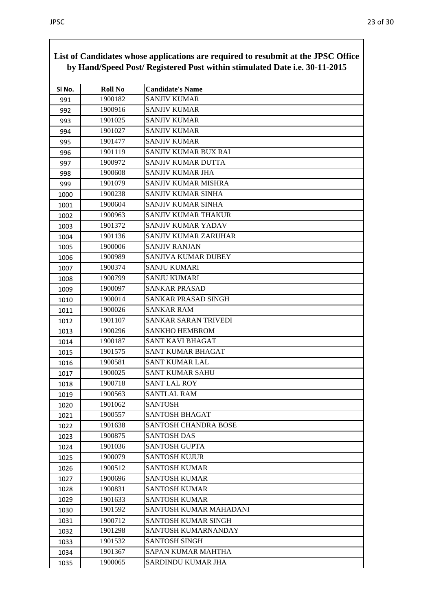|        |                | List of Candidates whose applications are required to resubmit at the JPSC Office<br>by Hand/Speed Post/ Registered Post within stimulated Date i.e. 30-11-2015 |
|--------|----------------|-----------------------------------------------------------------------------------------------------------------------------------------------------------------|
| SI No. | <b>Roll No</b> | <b>Candidate's Name</b>                                                                                                                                         |
| 991    | 1900182        | <b>SANJIV KUMAR</b>                                                                                                                                             |
| 992    | 1900916        | <b>SANJIV KUMAR</b>                                                                                                                                             |
| 993    | 1901025        | <b>SANJIV KUMAR</b>                                                                                                                                             |
| 994    | 1901027        | <b>SANJIV KUMAR</b>                                                                                                                                             |
| 995    | 1901477        | <b>SANJIV KUMAR</b>                                                                                                                                             |
| 996    | 1901119        | SANJIV KUMAR BUX RAI                                                                                                                                            |
| 997    | 1900972        | SANJIV KUMAR DUTTA                                                                                                                                              |
| 998    | 1900608        | SANJIV KUMAR JHA                                                                                                                                                |
| 999    | 1901079        | SANJIV KUMAR MISHRA                                                                                                                                             |
| 1000   | 1900238        | SANJIV KUMAR SINHA                                                                                                                                              |
| 1001   | 1900604        | <b>SANJIV KUMAR SINHA</b>                                                                                                                                       |
| 1002   | 1900963        | SANJIV KUMAR THAKUR                                                                                                                                             |
| 1003   | 1901372        | SANJIV KUMAR YADAV                                                                                                                                              |
| 1004   | 1901136        | SANJIV KUMAR ZARUHAR                                                                                                                                            |
| 1005   | 1900006        | <b>SANJIV RANJAN</b>                                                                                                                                            |
| 1006   | 1900989        | SANJIVA KUMAR DUBEY                                                                                                                                             |
| 1007   | 1900374        | <b>SANJU KUMARI</b>                                                                                                                                             |
| 1008   | 1900799        | <b>SANJU KUMARI</b>                                                                                                                                             |
| 1009   | 1900097        | <b>SANKAR PRASAD</b>                                                                                                                                            |
| 1010   | 1900014        | SANKAR PRASAD SINGH                                                                                                                                             |
| 1011   | 1900026        | <b>SANKAR RAM</b>                                                                                                                                               |
| 1012   | 1901107        | SANKAR SARAN TRIVEDI                                                                                                                                            |
| 1013   | 1900296        | <b>SANKHO HEMBROM</b>                                                                                                                                           |
| 1014   | 1900187        | <b>SANT KAVI BHAGAT</b>                                                                                                                                         |
| 1015   | 1901575        | <b>SANT KUMAR BHAGAT</b>                                                                                                                                        |
| 1016   | 1900581        | <b>SANT KUMAR LAL</b>                                                                                                                                           |
| 1017   | 1900025        | <b>SANT KUMAR SAHU</b>                                                                                                                                          |
| 1018   | 1900718        | <b>SANT LAL ROY</b>                                                                                                                                             |
| 1019   | 1900563        | <b>SANTLAL RAM</b>                                                                                                                                              |
| 1020   | 1901062        | <b>SANTOSH</b>                                                                                                                                                  |
| 1021   | 1900557        | <b>SANTOSH BHAGAT</b>                                                                                                                                           |
| 1022   | 1901638        | <b>SANTOSH CHANDRA BOSE</b>                                                                                                                                     |
| 1023   | 1900875        | <b>SANTOSH DAS</b>                                                                                                                                              |
| 1024   | 1901036        | <b>SANTOSH GUPTA</b>                                                                                                                                            |
| 1025   | 1900079        | <b>SANTOSH KUJUR</b>                                                                                                                                            |
| 1026   | 1900512        | <b>SANTOSH KUMAR</b>                                                                                                                                            |
| 1027   | 1900696        | <b>SANTOSH KUMAR</b>                                                                                                                                            |
| 1028   | 1900831        | <b>SANTOSH KUMAR</b>                                                                                                                                            |
| 1029   | 1901633        | <b>SANTOSH KUMAR</b>                                                                                                                                            |
| 1030   | 1901592        | SANTOSH KUMAR MAHADANI                                                                                                                                          |
| 1031   | 1900712        | <b>SANTOSH KUMAR SINGH</b>                                                                                                                                      |
| 1032   | 1901298        | SANTOSH KUMARNANDAY                                                                                                                                             |
| 1033   | 1901532        | <b>SANTOSH SINGH</b>                                                                                                                                            |
| 1034   | 1901367        | <b>SAPAN KUMAR MAHTHA</b>                                                                                                                                       |
| 1035   | 1900065        | SARDINDU KUMAR JHA                                                                                                                                              |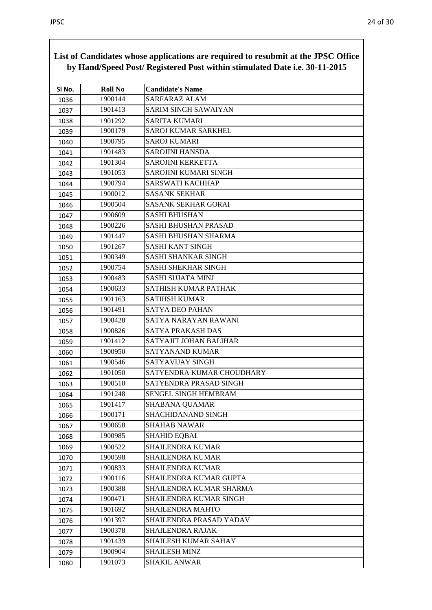| SI No. | <b>Roll No</b> | <b>Candidate's Name</b>      |
|--------|----------------|------------------------------|
| 1036   | 1900144        | <b>SARFARAZ ALAM</b>         |
| 1037   | 1901413        | <b>SARIM SINGH SAWAIYAN</b>  |
| 1038   | 1901292        | <b>SARITA KUMARI</b>         |
| 1039   | 1900179        | <b>SAROJ KUMAR SARKHEL</b>   |
| 1040   | 1900795        | <b>SAROJ KUMARI</b>          |
| 1041   | 1901483        | <b>SAROJINI HANSDA</b>       |
| 1042   | 1901304        | <b>SAROJINI KERKETTA</b>     |
| 1043   | 1901053        | <b>SAROJINI KUMARI SINGH</b> |
| 1044   | 1900794        | SARSWATI KACHHAP             |
| 1045   | 1900012        | <b>SASANK SEKHAR</b>         |
| 1046   | 1900504        | <b>SASANK SEKHAR GORAI</b>   |
| 1047   | 1900609        | <b>SASHI BHUSHAN</b>         |
| 1048   | 1900226        | <b>SASHI BHUSHAN PRASAD</b>  |
| 1049   | 1901447        | SASHI BHUSHAN SHARMA         |
| 1050   | 1901267        | <b>SASHI KANT SINGH</b>      |
| 1051   | 1900349        | <b>SASHI SHANKAR SINGH</b>   |
| 1052   | 1900754        | <b>SASHI SHEKHAR SINGH</b>   |
| 1053   | 1900483        | <b>SASHI SUJATA MINJ</b>     |
| 1054   | 1900633        | SATHISH KUMAR PATHAK         |
| 1055   | 1901163        | <b>SATIHSH KUMAR</b>         |
| 1056   | 1901491        | <b>SATYA DEO PAHAN</b>       |
| 1057   | 1900428        | SATYA NARAYAN RAWANI         |
| 1058   | 1900826        | SATYA PRAKASH DAS            |
| 1059   | 1901412        | SATYAJIT JOHAN BALIHAR       |
| 1060   | 1900950        | <b>SATYANAND KUMAR</b>       |
| 1061   | 1900546        | SATYAVIJAY SINGH             |
| 1062   | 1901050        | SATYENDRA KUMAR CHOUDHARY    |
| 1063   | 1900510        | SATYENDRA PRASAD SINGH       |
| 1064   | 1901248        | SENGEL SINGH HEMBRAM         |
| 1065   | 1901417        | <b>SHABANA QUAMAR</b>        |
| 1066   | 1900171        | SHACHIDANAND SINGH           |
| 1067   | 1900658        | <b>SHAHAB NAWAR</b>          |
| 1068   | 1900985        | <b>SHAHID EQBAL</b>          |
| 1069   | 1900522        | <b>SHAILENDRA KUMAR</b>      |
| 1070   | 1900598        | <b>SHAILENDRA KUMAR</b>      |
| 1071   | 1900833        | <b>SHAILENDRA KUMAR</b>      |
| 1072   | 1900116        | SHAILENDRA KUMAR GUPTA       |
| 1073   | 1900388        | SHAILENDRA KUMAR SHARMA      |
| 1074   | 1900471        | SHAILENDRA KUMAR SINGH       |
| 1075   | 1901692        | <b>SHAILENDRA MAHTO</b>      |
| 1076   | 1901397        | SHAILENDRA PRASAD YADAV      |
| 1077   | 1900378        | <b>SHAILENDRA RAJAK</b>      |
| 1078   | 1901439        | SHAILESH KUMAR SAHAY         |
| 1079   | 1900904        | <b>SHAILESH MINZ</b>         |
| 1080   | 1901073        | <b>SHAKIL ANWAR</b>          |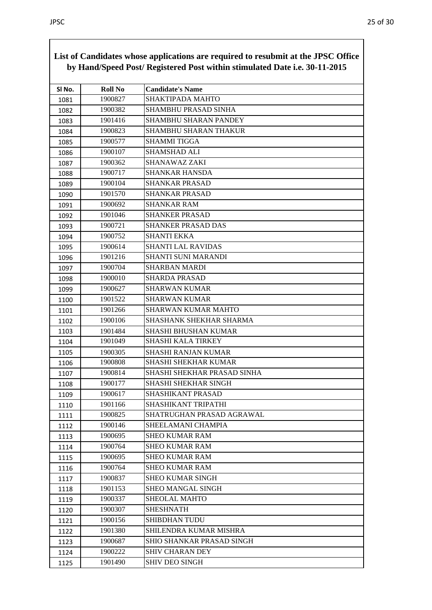| List of Canunates whose applications are required to resubility at the 91 BC Office<br>by Hand/Speed Post/ Registered Post within stimulated Date i.e. 30-11-2015 |                |                                  |
|-------------------------------------------------------------------------------------------------------------------------------------------------------------------|----------------|----------------------------------|
| SI No.                                                                                                                                                            | <b>Roll No</b> | <b>Candidate's Name</b>          |
| 1081                                                                                                                                                              | 1900827        | <b>SHAKTIPADA MAHTO</b>          |
| 1082                                                                                                                                                              | 1900382        | SHAMBHU PRASAD SINHA             |
| 1083                                                                                                                                                              | 1901416        | <b>SHAMBHU SHARAN PANDEY</b>     |
| 1084                                                                                                                                                              | 1900823        | SHAMBHU SHARAN THAKUR            |
| 1085                                                                                                                                                              | 1900577        | <b>SHAMMI TIGGA</b>              |
| 1086                                                                                                                                                              | 1900107        | SHAMSHAD ALI                     |
| 1087                                                                                                                                                              | 1900362        | SHANAWAZ ZAKI                    |
| 1088                                                                                                                                                              | 1900717        | <b>SHANKAR HANSDA</b>            |
| 1089                                                                                                                                                              | 1900104        | <b>SHANKAR PRASAD</b>            |
| 1090                                                                                                                                                              | 1901570        | <b>SHANKAR PRASAD</b>            |
| 1091                                                                                                                                                              | 1900692        | <b>SHANKAR RAM</b>               |
| 1092                                                                                                                                                              | 1901046        | <b>SHANKER PRASAD</b>            |
| 1093                                                                                                                                                              | 1900721        | <b>SHANKER PRASAD DAS</b>        |
| 1094                                                                                                                                                              | 1900752        | <b>SHANTI EKKA</b>               |
| 1095                                                                                                                                                              | 1900614        | <b>SHANTI LAL RAVIDAS</b>        |
| 1096                                                                                                                                                              | 1901216        | SHANTI SUNI MARANDI              |
| 1097                                                                                                                                                              | 1900704        | <b>SHARBAN MARDI</b>             |
| 1098                                                                                                                                                              | 1900010        | <b>SHARDA PRASAD</b>             |
| 1099                                                                                                                                                              | 1900627        | <b>SHARWAN KUMAR</b>             |
| 1100                                                                                                                                                              | 1901522        | <b>SHARWAN KUMAR</b>             |
| 1101                                                                                                                                                              | 1901266        | <b>SHARWAN KUMAR MAHTO</b>       |
| 1102                                                                                                                                                              | 1900106        | SHASHANK SHEKHAR SHARMA          |
| 1103                                                                                                                                                              | 1901484        | <b>SHASHI BHUSHAN KUMAR</b>      |
| 1104                                                                                                                                                              | 1901049        | <b>SHASHI KALA TIRKEY</b>        |
| 1105                                                                                                                                                              | 1900305        | SHASHI RANJAN KUMAR              |
| 1106                                                                                                                                                              | 1900808        | SHASHI SHEKHAR KUMAR             |
| 1107                                                                                                                                                              | 1900814        | SHASHI SHEKHAR PRASAD SINHA      |
| 1108                                                                                                                                                              | 1900177        | SHASHI SHEKHAR SINGH             |
| 1109                                                                                                                                                              | 1900617        | SHASHIKANT PRASAD                |
| 1110                                                                                                                                                              | 1901166        | SHASHIKANT TRIPATHI              |
| 1111                                                                                                                                                              | 1900825        | SHATRUGHAN PRASAD AGRAWAL        |
| 1112                                                                                                                                                              | 1900146        | SHEELAMANI CHAMPIA               |
| 1113                                                                                                                                                              | 1900695        | <b>SHEO KUMAR RAM</b>            |
| 1114                                                                                                                                                              | 1900764        | <b>SHEO KUMAR RAM</b>            |
| 1115                                                                                                                                                              | 1900695        | <b>SHEO KUMAR RAM</b>            |
| 1116                                                                                                                                                              | 1900764        | <b>SHEO KUMAR RAM</b>            |
| 1117                                                                                                                                                              | 1900837        | <b>SHEO KUMAR SINGH</b>          |
| 1118                                                                                                                                                              | 1901153        | <b>SHEO MANGAL SINGH</b>         |
| 1119                                                                                                                                                              | 1900337        | SHEOLAL MAHTO                    |
| 1120                                                                                                                                                              | 1900307        | <b>SHESHNATH</b>                 |
| 1121                                                                                                                                                              | 1900156        | <b>SHIBDHAN TUDU</b>             |
| 1122                                                                                                                                                              | 1901380        | SHILENDRA KUMAR MISHRA           |
| 1123                                                                                                                                                              | 1900687        | <b>SHIO SHANKAR PRASAD SINGH</b> |
| 1124                                                                                                                                                              | 1900222        | <b>SHIV CHARAN DEY</b>           |
| 1125                                                                                                                                                              | 1901490        | <b>SHIV DEO SINGH</b>            |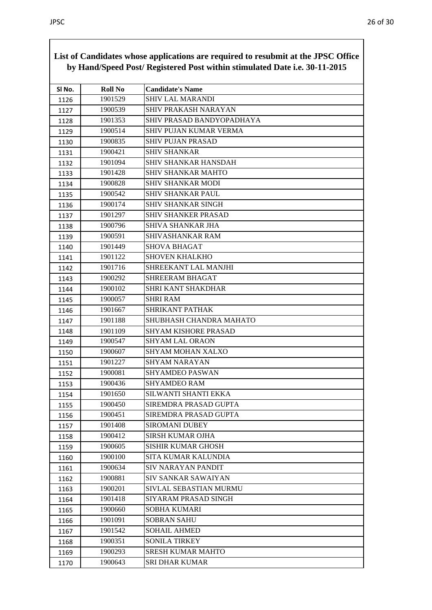| SI No. | <b>Roll No</b> | <b>Candidate's Name</b>          |
|--------|----------------|----------------------------------|
| 1126   | 1901529        | <b>SHIV LAL MARANDI</b>          |
| 1127   | 1900539        | SHIV PRAKASH NARAYAN             |
| 1128   | 1901353        | <b>SHIV PRASAD BANDYOPADHAYA</b> |
| 1129   | 1900514        | SHIV PUJAN KUMAR VERMA           |
| 1130   | 1900835        | <b>SHIV PUJAN PRASAD</b>         |
| 1131   | 1900421        | <b>SHIV SHANKAR</b>              |
| 1132   | 1901094        | SHIV SHANKAR HANSDAH             |
| 1133   | 1901428        | <b>SHIV SHANKAR MAHTO</b>        |
| 1134   | 1900828        | <b>SHIV SHANKAR MODI</b>         |
| 1135   | 1900542        | <b>SHIV SHANKAR PAUL</b>         |
| 1136   | 1900174        | <b>SHIV SHANKAR SINGH</b>        |
| 1137   | 1901297        | <b>SHIV SHANKER PRASAD</b>       |
| 1138   | 1900796        | SHIVA SHANKAR JHA                |
| 1139   | 1900591        | SHIVASHANKAR RAM                 |
| 1140   | 1901449        | <b>SHOVA BHAGAT</b>              |
| 1141   | 1901122        | <b>SHOVEN KHALKHO</b>            |
| 1142   | 1901716        | SHREEKANT LAL MANJHI             |
| 1143   | 1900292        | <b>SHREERAM BHAGAT</b>           |
| 1144   | 1900102        | SHRI KANT SHAKDHAR               |
| 1145   | 1900057        | <b>SHRI RAM</b>                  |
| 1146   | 1901667        | SHRIKANT PATHAK                  |
| 1147   | 1901188        | SHUBHASH CHANDRA MAHATO          |
| 1148   | 1901109        | SHYAM KISHORE PRASAD             |
| 1149   | 1900547        | <b>SHYAM LAL ORAON</b>           |
| 1150   | 1900607        | SHYAM MOHAN XALXO                |
| 1151   | 1901227        | <b>SHYAM NARAYAN</b>             |
| 1152   | 1900081        | <b>SHYAMDEO PASWAN</b>           |
| 1153   | 1900436        | <b>SHYAMDEO RAM</b>              |
| 1154   | 1901650        | SILWANTI SHANTI EKKA             |
| 1155   | 1900450        | SIREMDRA PRASAD GUPTA            |
| 1156   | 1900451        | SIREMDRA PRASAD GUPTA            |
| 1157   | 1901408        | <b>SIROMANI DUBEY</b>            |
| 1158   | 1900412        | <b>SIRSH KUMAR OJHA</b>          |
| 1159   | 1900605        | <b>SISHIR KUMAR GHOSH</b>        |
| 1160   | 1900100        | SITA KUMAR KALUNDIA              |
| 1161   | 1900634        | <b>SIV NARAYAN PANDIT</b>        |
| 1162   | 1900881        | <b>SIV SANKAR SAWAIYAN</b>       |
| 1163   | 1900201        | SIVLAL SEBASTIAN MURMU           |
| 1164   | 1901418        | SIYARAM PRASAD SINGH             |
| 1165   | 1900660        | SOBHA KUMARI                     |
| 1166   | 1901091        | <b>SOBRAN SAHU</b>               |
| 1167   | 1901542        | <b>SOHAIL AHMED</b>              |
| 1168   | 1900351        | <b>SONILA TIRKEY</b>             |
| 1169   | 1900293        | <b>SRESH KUMAR MAHTO</b>         |
| 1170   | 1900643        | SRI DHAR KUMAR                   |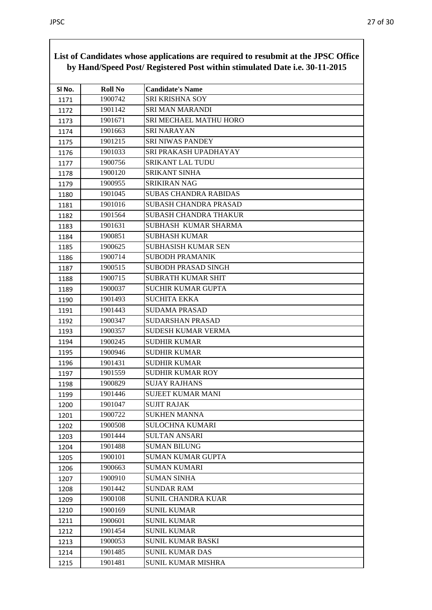| by Hand/Speed Post/ Registered Post within stimulated Date i.e. 30-11-2015 |                |                              |
|----------------------------------------------------------------------------|----------------|------------------------------|
| SI No.                                                                     | <b>Roll No</b> | <b>Candidate's Name</b>      |
| 1171                                                                       | 1900742        | SRI KRISHNA SOY              |
| 1172                                                                       | 1901142        | <b>SRI MAN MARANDI</b>       |
| 1173                                                                       | 1901671        | SRI MECHAEL MATHU HORO       |
| 1174                                                                       | 1901663        | <b>SRI NARAYAN</b>           |
| 1175                                                                       | 1901215        | <b>SRI NIWAS PANDEY</b>      |
| 1176                                                                       | 1901033        | SRI PRAKASH UPADHAYAY        |
| 1177                                                                       | 1900756        | <b>SRIKANT LAL TUDU</b>      |
| 1178                                                                       | 1900120        | SRIKANT SINHA                |
| 1179                                                                       | 1900955        | <b>SRIKIRAN NAG</b>          |
| 1180                                                                       | 1901045        | <b>SUBAS CHANDRA RABIDAS</b> |
| 1181                                                                       | 1901016        | <b>SUBASH CHANDRA PRASAD</b> |
| 1182                                                                       | 1901564        | <b>SUBASH CHANDRA THAKUR</b> |
| 1183                                                                       | 1901631        | SUBHASH KUMAR SHARMA         |
| 1184                                                                       | 1900851        | <b>SUBHASH KUMAR</b>         |
| 1185                                                                       | 1900625        | SUBHASISH KUMAR SEN          |
| 1186                                                                       | 1900714        | <b>SUBODH PRAMANIK</b>       |
| 1187                                                                       | 1900515        | <b>SUBODH PRASAD SINGH</b>   |
| 1188                                                                       | 1900715        | <b>SUBRATH KUMAR SHIT</b>    |
| 1189                                                                       | 1900037        | <b>SUCHIR KUMAR GUPTA</b>    |
| 1190                                                                       | 1901493        | <b>SUCHITA EKKA</b>          |
| 1191                                                                       | 1901443        | <b>SUDAMA PRASAD</b>         |
| 1192                                                                       | 1900347        | <b>SUDARSHAN PRASAD</b>      |
| 1193                                                                       | 1900357        | <b>SUDESH KUMAR VERMA</b>    |
| 1194                                                                       | 1900245        | <b>SUDHIR KUMAR</b>          |
| 1195                                                                       | 1900946        | <b>SUDHIR KUMAR</b>          |
| 1196                                                                       | 1901431        | <b>SUDHIR KUMAR</b>          |
| 1197                                                                       | 1901559        | <b>SUDHIR KUMAR ROY</b>      |
| 1198                                                                       | 1900829        | <b>SUJAY RAJHANS</b>         |
| 1199                                                                       | 1901446        | <b>SUJEET KUMAR MANI</b>     |
| 1200                                                                       | 1901047        | <b>SUJIT RAJAK</b>           |
| 1201                                                                       | 1900722        | <b>SUKHEN MANNA</b>          |
| 1202                                                                       | 1900508        | <b>SULOCHNA KUMARI</b>       |
| 1203                                                                       | 1901444        | <b>SULTAN ANSARI</b>         |
| 1204                                                                       | 1901488        | <b>SUMAN BILUNG</b>          |
| 1205                                                                       | 1900101        | <b>SUMAN KUMAR GUPTA</b>     |
| 1206                                                                       | 1900663        | <b>SUMAN KUMARI</b>          |
| 1207                                                                       | 1900910        | <b>SUMAN SINHA</b>           |
| 1208                                                                       | 1901442        | <b>SUNDAR RAM</b>            |
| 1209                                                                       | 1900108        | <b>SUNIL CHANDRA KUAR</b>    |
| 1210                                                                       | 1900169        | <b>SUNIL KUMAR</b>           |
| 1211                                                                       | 1900601        | <b>SUNIL KUMAR</b>           |
| 1212                                                                       | 1901454        | <b>SUNIL KUMAR</b>           |
| 1213                                                                       | 1900053        | SUNIL KUMAR BASKI            |
| 1214                                                                       | 1901485        | <b>SUNIL KUMAR DAS</b>       |
| 1215                                                                       | 1901481        | <b>SUNIL KUMAR MISHRA</b>    |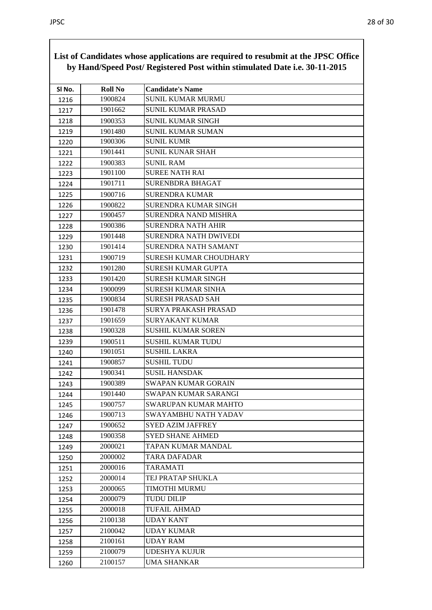| List of Canunates whose applications are required to resubility at the 91 DC Office<br>by Hand/Speed Post/ Registered Post within stimulated Date i.e. 30-11-2015 |                |                               |
|-------------------------------------------------------------------------------------------------------------------------------------------------------------------|----------------|-------------------------------|
| SI No.                                                                                                                                                            | <b>Roll No</b> | <b>Candidate's Name</b>       |
| 1216                                                                                                                                                              | 1900824        | <b>SUNIL KUMAR MURMU</b>      |
| 1217                                                                                                                                                              | 1901662        | SUNIL KUMAR PRASAD            |
| 1218                                                                                                                                                              | 1900353        | <b>SUNIL KUMAR SINGH</b>      |
| 1219                                                                                                                                                              | 1901480        | <b>SUNIL KUMAR SUMAN</b>      |
| 1220                                                                                                                                                              | 1900306        | <b>SUNIL KUMR</b>             |
| 1221                                                                                                                                                              | 1901441        | <b>SUNIL KUNAR SHAH</b>       |
| 1222                                                                                                                                                              | 1900383        | <b>SUNIL RAM</b>              |
| 1223                                                                                                                                                              | 1901100        | <b>SUREE NATH RAI</b>         |
| 1224                                                                                                                                                              | 1901711        | <b>SURENBDRA BHAGAT</b>       |
| 1225                                                                                                                                                              | 1900716        | <b>SURENDRA KUMAR</b>         |
| 1226                                                                                                                                                              | 1900822        | SURENDRA KUMAR SINGH          |
| 1227                                                                                                                                                              | 1900457        | <b>SURENDRA NAND MISHRA</b>   |
| 1228                                                                                                                                                              | 1900386        | <b>SURENDRA NATH AHIR</b>     |
| 1229                                                                                                                                                              | 1901448        | SURENDRA NATH DWIVEDI         |
| 1230                                                                                                                                                              | 1901414        | SURENDRA NATH SAMANT          |
| 1231                                                                                                                                                              | 1900719        | <b>SURESH KUMAR CHOUDHARY</b> |
| 1232                                                                                                                                                              | 1901280        | <b>SURESH KUMAR GUPTA</b>     |
| 1233                                                                                                                                                              | 1901420        | <b>SURESH KUMAR SINGH</b>     |
| 1234                                                                                                                                                              | 1900099        | <b>SURESH KUMAR SINHA</b>     |
| 1235                                                                                                                                                              | 1900834        | <b>SURESH PRASAD SAH</b>      |
| 1236                                                                                                                                                              | 1901478        | SURYA PRAKASH PRASAD          |
| 1237                                                                                                                                                              | 1901659        | <b>SURYAKANT KUMAR</b>        |
| 1238                                                                                                                                                              | 1900328        | <b>SUSHIL KUMAR SOREN</b>     |
| 1239                                                                                                                                                              | 1900511        | <b>SUSHIL KUMAR TUDU</b>      |
| 1240                                                                                                                                                              | 1901051        | <b>SUSHIL LAKRA</b>           |
| 1241                                                                                                                                                              | 1900857        | <b>SUSHIL TUDU</b>            |
| 1242                                                                                                                                                              | 1900341        | <b>SUSIL HANSDAK</b>          |
| 1243                                                                                                                                                              | 1900389        | SWAPAN KUMAR GORAIN           |
| 1244                                                                                                                                                              | 1901440        | SWAPAN KUMAR SARANGI          |
| 1245                                                                                                                                                              | 1900757        | SWARUPAN KUMAR MAHTO          |
| 1246                                                                                                                                                              | 1900713        | SWAYAMBHU NATH YADAV          |
| 1247                                                                                                                                                              | 1900652        | <b>SYED AZIM JAFFREY</b>      |
| 1248                                                                                                                                                              | 1900358        | <b>SYED SHANE AHMED</b>       |
| 1249                                                                                                                                                              | 2000021        | TAPAN KUMAR MANDAL            |
| 1250                                                                                                                                                              | 2000002        | TARA DAFADAR                  |
| 1251                                                                                                                                                              | 2000016        | <b>TARAMATI</b>               |
| 1252                                                                                                                                                              | 2000014        | TEJ PRATAP SHUKLA             |
| 1253                                                                                                                                                              | 2000065        | TIMOTHI MURMU                 |
| 1254                                                                                                                                                              | 2000079        | <b>TUDU DILIP</b>             |
| 1255                                                                                                                                                              | 2000018        | <b>TUFAIL AHMAD</b>           |
| 1256                                                                                                                                                              | 2100138        | <b>UDAY KANT</b>              |
| 1257                                                                                                                                                              | 2100042        | <b>UDAY KUMAR</b>             |
| 1258                                                                                                                                                              | 2100161        | <b>UDAY RAM</b>               |
| 1259                                                                                                                                                              | 2100079        | <b>UDESHYA KUJUR</b>          |
| 1260                                                                                                                                                              | 2100157        | <b>UMA SHANKAR</b>            |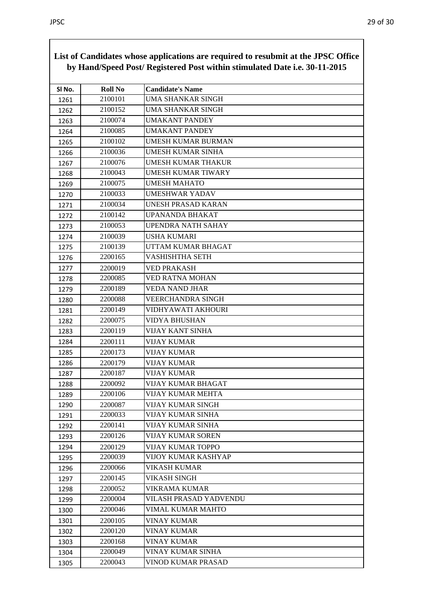| SI No. | <b>Roll No</b> | <b>Candidate's Name</b>   |
|--------|----------------|---------------------------|
| 1261   | 2100101        | UMA SHANKAR SINGH         |
| 1262   | 2100152        | <b>UMA SHANKAR SINGH</b>  |
| 1263   | 2100074        | <b>UMAKANT PANDEY</b>     |
| 1264   | 2100085        | <b>UMAKANT PANDEY</b>     |
| 1265   | 2100102        | UMESH KUMAR BURMAN        |
| 1266   | 2100036        | <b>UMESH KUMAR SINHA</b>  |
| 1267   | 2100076        | <b>UMESH KUMAR THAKUR</b> |
| 1268   | 2100043        | UMESH KUMAR TIWARY        |
| 1269   | 2100075        | <b>UMESH MAHATO</b>       |
| 1270   | 2100033        | UMESHWAR YADAV            |
| 1271   | 2100034        | UNESH PRASAD KARAN        |
| 1272   | 2100142        | UPANANDA BHAKAT           |
| 1273   | 2100053        | <b>UPENDRA NATH SAHAY</b> |
| 1274   | 2100039        | <b>USHA KUMARI</b>        |
| 1275   | 2100139        | UTTAM KUMAR BHAGAT        |
| 1276   | 2200165        | VASHISHTHA SETH           |
| 1277   | 2200019        | VED PRAKASH               |
| 1278   | 2200085        | <b>VED RATNA MOHAN</b>    |
| 1279   | 2200189        | <b>VEDA NAND JHAR</b>     |
| 1280   | 2200088        | <b>VEERCHANDRA SINGH</b>  |
| 1281   | 2200149        | VIDHYAWATI AKHOURI        |
| 1282   | 2200075        | <b>VIDYA BHUSHAN</b>      |
| 1283   | 2200119        | <b>VIJAY KANT SINHA</b>   |
| 1284   | 2200111        | VIJAY KUMAR               |
| 1285   | 2200173        | <b>VIJAY KUMAR</b>        |
| 1286   | 2200179        | VIJAY KUMAR               |
| 1287   | 2200187        | <b>VIJAY KUMAR</b>        |
| 1288   | 2200092        | VIJAY KUMAR BHAGAT        |
| 1289   | 2200106        | VIJAY KUMAR MEHTA         |
| 1290   | 2200087        | VIJAY KUMAR SINGH         |
| 1291   | 2200033        | VIJAY KUMAR SINHA         |
| 1292   | 2200141        | VIJAY KUMAR SINHA         |
| 1293   | 2200126        | <b>VIJAY KUMAR SOREN</b>  |
| 1294   | 2200129        | <b>VIJAY KUMAR TOPPO</b>  |
| 1295   | 2200039        | VIJOY KUMAR KASHYAP       |
| 1296   | 2200066        | VIKASH KUMAR              |
| 1297   | 2200145        | <b>VIKASH SINGH</b>       |
| 1298   | 2200052        | VIKRAMA KUMAR             |
| 1299   | 2200004        | VILASH PRASAD YADVENDU    |
| 1300   | 2200046        | VIMAL KUMAR MAHTO         |
| 1301   | 2200105        | <b>VINAY KUMAR</b>        |
| 1302   | 2200120        | VINAY KUMAR               |
| 1303   | 2200168        | VINAY KUMAR               |
| 1304   | 2200049        | VINAY KUMAR SINHA         |
| 1305   | 2200043        | VINOD KUMAR PRASAD        |